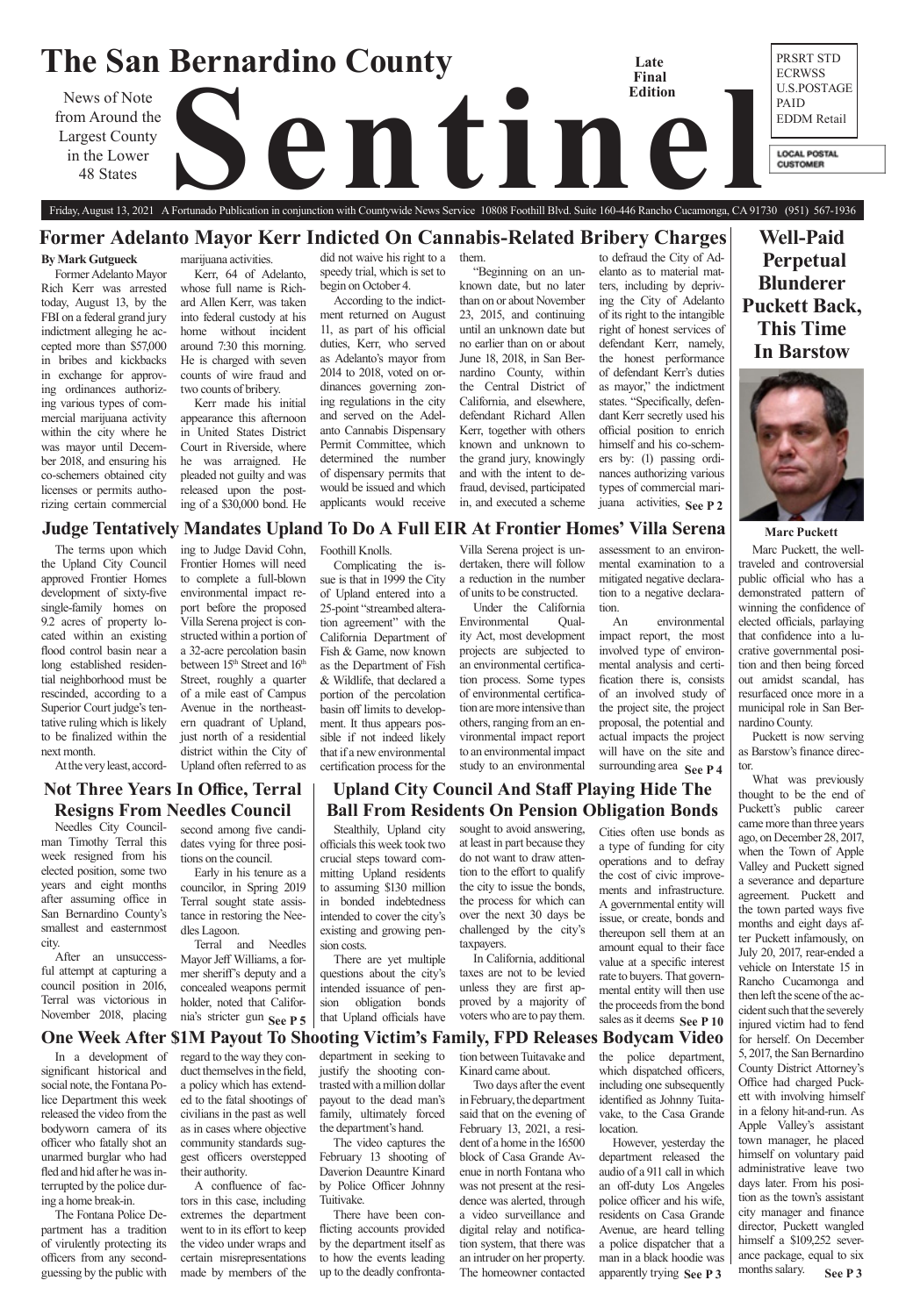

Friday, August 13, 2021 A Fortunado Publication in conjunction with Countywide News Service 10808 Foothill Blvd. Suite 160-446 Rancho Cucamonga, CA 91730 (951) 567-1936

**Well-Paid Perpetual Blunderer Puckett Back, This Time In Barstow**



**Not Three Years In Office, Terral** 

# **One Week After \$1M Payout To Shooting Victim's Family, FPD Releases Bodycam Video**

# **Former Adelanto Mayor Kerr Indicted On Cannabis-Related Bribery Charges**

### **Marc Puckett**

# **Judge Tentatively Mandates Upland To Do A Full EIR At Frontier Homes' Villa Serena** ing to Judge David Cohn,

The terms upon which the Upland City Council approved Frontier Homes development of sixty-five single-family homes on 9.2 acres of property located within an existing flood control basin near a long established residential neighborhood must be rescinded, according to a Superior Court judge's tentative ruling which is likely to be finalized within the next month.

At the very least, accord-

Frontier Homes will need to complete a full-blown environmental impact report before the proposed Villa Serena project is constructed within a portion of a 32-acre percolation basin between 15<sup>th</sup> Street and 16<sup>th</sup> Street, roughly a quarter of a mile east of Campus Avenue in the northeastern quadrant of Upland, just north of a residential district within the City of Upland often referred to as

surrounding area **See P4** An environmental impact report, the most involved type of environmental analysis and certification there is, consists of an involved study of the project site, the project proposal, the potential and actual impacts the project will have on the site and

Foothill Knolls.

Complicating the issue is that in 1999 the City of Upland entered into a 25-point "streambed alteration agreement" with the California Department of Fish & Game, now known as the Department of Fish & Wildlife, that declared a portion of the percolation basin off limits to development. It thus appears possible if not indeed likely that if a new environmental certification process for the

Villa Serena project is undertaken, there will follow a reduction in the number of units to be constructed.

Under the California Environmental Quality Act, most development projects are subjected to an environmental certification process. Some types of environmental certification are more intensive than others, ranging from an environmental impact report to an environmental impact study to an environmental

assessment to an environmental examination to a mitigated negative declaration to a negative declaration.

**See P 2** juana activities, to defraud the City of Adelanto as to material matters, including by depriving the City of Adelanto of its right to the intangible right of honest services of defendant Kerr, namely, the honest performance of defendant Kerr's duties as mayor," the indictment states. "Specifically, defendant Kerr secretly used his official position to enrich himself and his co-schemers by: (1) passing ordinances authorizing various types of commercial mari-

### **By Mark Gutgueck**

Former Adelanto Mayor Rich Kerr was arrested today, August 13, by the FBI on a federal grand jury indictment alleging he accepted more than \$57,000 in bribes and kickbacks in exchange for approving ordinances authorizing various types of commercial marijuana activity within the city where he was mayor until December 2018, and ensuring his co-schemers obtained city licenses or permits authorizing certain commercial

marijuana activities.

Kerr, 64 of Adelanto, whose full name is Richard Allen Kerr, was taken into federal custody at his home without incident around 7:30 this morning. He is charged with seven counts of wire fraud and two counts of bribery.

Terral and Needles Mayor Jeff Williams, a former sheriff's deputy and a concealed weapons permit holder, noted that California's stricter gun See P 5

**See P 3** What was previously thought to be the end of Puckett's public career came more than three years ago, on December 28, 2017, when the Town of Apple Valley and Puckett signed a severance and departure agreement. Puckett and the town parted ways five months and eight days after Puckett infamously, on July 20, 2017, rear-ended a vehicle on Interstate 15 in Rancho Cucamonga and then left the scene of the accident such that the severely injured victim had to fend for herself. On December 5, 2017, the San Bernardino County District Attorney's Office had charged Puckett with involving himself in a felony hit-and-run. As Apple Valley's assistant town manager, he placed himself on voluntary paid administrative leave two days later. From his position as the town's assistant city manager and finance director, Puckett wangled himself a \$109,252 severance package, equal to six months salary.

**Resigns From Needles Council** second among five candidates vying for three positions on the council.

Kerr made his initial appearance this afternoon in United States District Court in Riverside, where he was arraigned. He pleaded not guilty and was released upon the posting of a \$30,000 bond. He

did not waive his right to a speedy trial, which is set to begin on October 4.

According to the indictment returned on August 11, as part of his official duties, Kerr, who served as Adelanto's mayor from 2014 to 2018, voted on ordinances governing zoning regulations in the city and served on the Adelanto Cannabis Dispensary Permit Committee, which determined the number of dispensary permits that would be issued and which applicants would receive

them. "Beginning on an unknown date, but no later than on or about November 23, 2015, and continuing until an unknown date but no earlier than on or about June 18, 2018, in San Bernardino County, within the Central District of California, and elsewhere, defendant Richard Allen Kerr, together with others known and unknown to the grand jury, knowingly and with the intent to defraud, devised, participated in, and executed a scheme

**See P 3** apparently trying block of Casa Grande Avenue in north Fontana who was not present at the residence was alerted, through a video surveillance and digital relay and notification system, that there was an intruder on her property. The homeowner contacted However, yesterday the department released the audio of a 911 call in which an off-duty Los Angeles police officer and his wife, residents on Casa Grande Avenue, are heard telling a police dispatcher that a man in a black hoodie was

**See P 5**  $\vert$  that Upland officials have voters who are to pay them. sales as it deems See P 10 Cities often use bonds as a type of funding for city operations and to defray the cost of civic improvements and infrastructure. A governmental entity will issue, or create, bonds and thereupon sell them at an amount equal to their face value at a specific interest rate to buyers. That governmental entity will then use the proceeds from the bond

Marc Puckett, the welltraveled and controversial public official who has a demonstrated pattern of winning the confidence of elected officials, parlaying that confidence into a lucrative governmental position and then being forced out amidst scandal, has resurfaced once more in a municipal role in San Bernardino County.

Puckett is now serving as Barstow's finance director.

Needles City Councilman Timothy Terral this week resigned from his elected position, some two years and eight months after assuming office in San Bernardino County's smallest and easternmost city.

After an unsuccessful attempt at capturing a council position in 2016, Terral was victorious in November 2018, placing

Early in his tenure as a councilor, in Spring 2019 Terral sought state assistance in restoring the Needles Lagoon.

In a development of significant historical and social note, the Fontana Police Department this week released the video from the bodyworn camera of its officer who fatally shot an unarmed burglar who had fled and hid after he was interrupted by the police during a home break-in.

The Fontana Police Department has a tradition of virulently protecting its officers from any secondguessing by the public with

regard to the way they conduct themselves in the field, a policy which has extended to the fatal shootings of civilians in the past as well as in cases where objective community standards suggest officers overstepped their authority.

A confluence of factors in this case, including extremes the department went to in its effort to keep the video under wraps and certain misrepresentations made by members of the

department in seeking to justify the shooting contrasted with a million dollar payout to the dead man's family, ultimately forced the department's hand.

The video captures the February 13 shooting of Daverion Deauntre Kinard by Police Officer Johnny Tuitivake.

There have been conflicting accounts provided by the department itself as to how the events leading up to the deadly confrontation between Tuitavake and Kinard came about.

Two days after the event in February, the department said that on the evening of February 13, 2021, a resident of a home in the 16500 including one subsequently identified as Johnny Tuitavake, to the Casa Grande location.

the police department, which dispatched officers,

# **Upland City Council And Staff Playing Hide The Ball From Residents On Pension Obligation Bonds**

Stealthily, Upland city officials this week took two crucial steps toward committing Upland residents to assuming \$130 million in bonded indebtedness intended to cover the city's existing and growing pension costs.

There are yet multiple questions about the city's intended issuance of pension obligation bonds that Upland officials have

sought to avoid answering, at least in part because they do not want to draw attention to the effort to qualify the city to issue the bonds, the process for which can over the next 30 days be challenged by the city's taxpayers.

In California, additional taxes are not to be levied unless they are first approved by a majority of voters who are to pay them.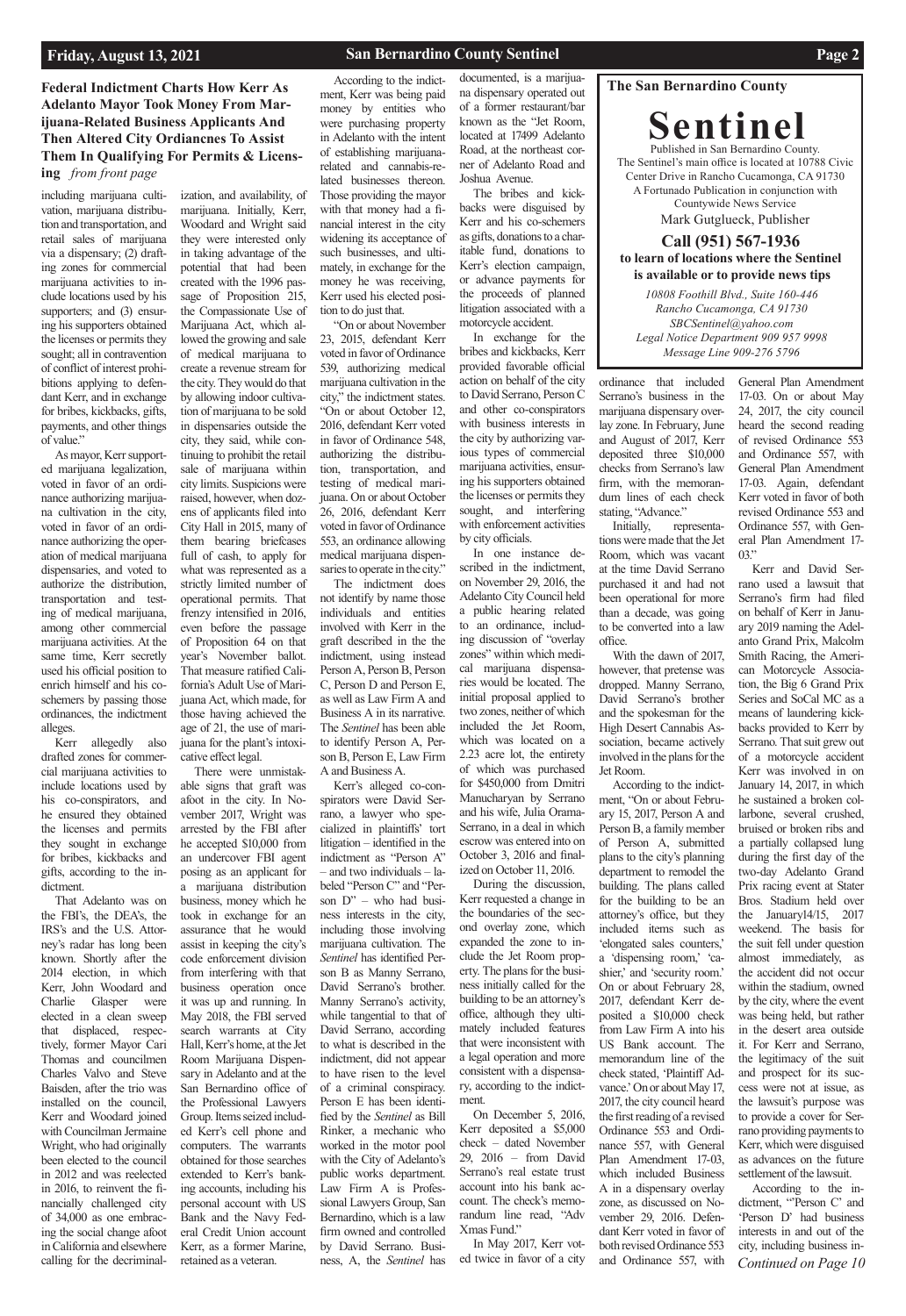### **The San Bernardino County**

**Sentinel** Published in San Bernardino County. The Sentinel's main office is located at 10788 Civic Center Drive in Rancho Cucamonga, CA 91730 A Fortunado Publication in conjunction with Countywide News Service

Mark Gutglueck, Publisher

### **Call (951) 567-1936 to learn of locations where the Sentinel is available or to provide news tips**

**Federal Indictment Charts How Kerr As Adelanto Mayor Took Money From Marijuana-Related Business Applicants And Then Altered City Ordiancnes To Assist Them In Qualifying For Permits & Licensing** *from front page*

> *10808 Foothill Blvd., Suite 160-446 Rancho Cucamonga, CA 91730 SBCSentinel@yahoo.com Legal Notice Department 909 957 9998 Message Line 909-276 5796*

including marijuana cultivation, marijuana distribution and transportation, and retail sales of marijuana via a dispensary; (2) drafting zones for commercial marijuana activities to include locations used by his supporters; and (3) ensuring his supporters obtained the licenses or permits they sought; all in contravention of conflict of interest prohibitions applying to defendant Kerr, and in exchange for bribes, kickbacks, gifts, payments, and other things of value."

As mayor, Kerr supported marijuana legalization, voted in favor of an ordinance authorizing marijuana cultivation in the city, voted in favor of an ordinance authorizing the operation of medical marijuana dispensaries, and voted to authorize the distribution, transportation and testing of medical marijuana, among other commercial marijuana activities. At the same time, Kerr secretly used his official position to enrich himself and his coschemers by passing those ordinances, the indictment alleges.

Kerr allegedly also drafted zones for commercial marijuana activities to include locations used by his co-conspirators, and he ensured they obtained the licenses and permits they sought in exchange for bribes, kickbacks and gifts, according to the indictment.

That Adelanto was on the FBI's, the DEA's, the IRS's and the U.S. Attorney's radar has long been known. Shortly after the 2014 election, in which Kerr, John Woodard and Charlie Glasper were elected in a clean sweep that displaced, respectively, former Mayor Cari Thomas and councilmen Charles Valvo and Steve Baisden, after the trio was installed on the council, Kerr and Woodard joined with Councilman Jermaine Wright, who had originally been elected to the council in 2012 and was reelected in 2016, to reinvent the financially challenged city of 34,000 as one embracing the social change afoot in California and elsewhere calling for the decriminal-

"On or about November 23, 2015, defendant Kerr voted in favor of Ordinance 539, authorizing medical marijuana cultivation in the city," the indictment states. "On or about October 12, 2016, defendant Kerr voted in favor of Ordinance 548, authorizing the distribution, transportation, and testing of medical marijuana. On or about October 26, 2016, defendant Kerr voted in favor of Ordinance 553, an ordinance allowing medical marijuana dispensaries to operate in the city."

ization, and availability, of marijuana. Initially, Kerr, Woodard and Wright said they were interested only in taking advantage of the potential that had been created with the 1996 passage of Proposition 215, the Compassionate Use of Marijuana Act, which allowed the growing and sale of medical marijuana to create a revenue stream for the city. They would do that by allowing indoor cultivation of marijuana to be sold in dispensaries outside the city, they said, while continuing to prohibit the retail sale of marijuana within city limits. Suspicions were raised, however, when dozens of applicants filed into City Hall in 2015, many of them bearing briefcases full of cash, to apply for what was represented as a strictly limited number of operational permits. That frenzy intensified in 2016, even before the passage of Proposition 64 on that year's November ballot. That measure ratified California's Adult Use of Marijuana Act, which made, for those having achieved the age of 21, the use of marijuana for the plant's intoxicative effect legal.

There were unmistakable signs that graft was afoot in the city. In November 2017, Wright was arrested by the FBI after he accepted \$10,000 from an undercover FBI agent posing as an applicant for a marijuana distribution business, money which he took in exchange for an assurance that he would assist in keeping the city's code enforcement division from interfering with that business operation once it was up and running. In May 2018, the FBI served search warrants at City Hall, Kerr's home, at the Jet Room Marijuana Dispensary in Adelanto and at the San Bernardino office of the Professional Lawyers Group. Items seized included Kerr's cell phone and computers. The warrants obtained for those searches extended to Kerr's banking accounts, including his personal account with US Bank and the Navy Federal Credit Union account Kerr, as a former Marine, retained as a veteran.

According to the indictment, Kerr was being paid money by entities who were purchasing property in Adelanto with the intent of establishing marijuanarelated and cannabis-related businesses thereon. Those providing the mayor with that money had a financial interest in the city widening its acceptance of such businesses, and ultimately, in exchange for the money he was receiving, Kerr used his elected position to do just that.

The indictment does not identify by name those individuals and entities involved with Kerr in the graft described in the the indictment, using instead Person A, Person B, Person C, Person D and Person E, as well as Law Firm A and Business A in its narrative. The *Sentinel* has been able to identify Person A, Person B, Person E, Law Firm A and Business A.

*Continued on Page 10* Kerr and David Serrano used a lawsuit that Serrano's firm had filed on behalf of Kerr in January 2019 naming the Adelanto Grand Prix, Malcolm Smith Racing, the American Motorcycle Association, the Big 6 Grand Prix Series and SoCal MC as a means of laundering kickbacks provided to Kerr by Serrano. That suit grew out of a motorcycle accident Kerr was involved in on January 14, 2017, in which he sustained a broken collarbone, several crushed, bruised or broken ribs and a partially collapsed lung during the first day of the two-day Adelanto Grand Prix racing event at Stater Bros. Stadium held over the January14/15, 2017 weekend. The basis for the suit fell under question almost immediately, as the accident did not occur within the stadium, owned by the city, where the event was being held, but rather in the desert area outside it. For Kerr and Serrano, the legitimacy of the suit and prospect for its success were not at issue, as the lawsuit's purpose was to provide a cover for Serrano providing payments to Kerr, which were disguised as advances on the future settlement of the lawsuit. According to the indictment, "'Person C' and 'Person D' had business interests in and out of the city, including business in-

Kerr's alleged co-conspirators were David Serrano, a lawyer who specialized in plaintiffs' tort litigation – identified in the indictment as "Person A" – and two individuals – labeled "Person C" and "Person D" – who had business interests in the city, including those involving marijuana cultivation. The *Sentinel* has identified Person B as Manny Serrano, David Serrano's brother. Manny Serrano's activity, while tangential to that of David Serrano, according to what is described in the indictment, did not appear to have risen to the level of a criminal conspiracy. Person E has been identified by the *Sentinel* as Bill Rinker, a mechanic who worked in the motor pool with the City of Adelanto's public works department. Law Firm A is Professional Lawyers Group, San Bernardino, which is a law firm owned and controlled by David Serrano. Business, A, the *Sentinel* has

documented, is a marijuana dispensary operated out of a former restaurant/bar known as the "Jet Room, located at 17499 Adelanto Road, at the northeast corner of Adelanto Road and Joshua Avenue.

The bribes and kickbacks were disguised by Kerr and his co-schemers as gifts, donations to a charitable fund, donations to Kerr's election campaign, or advance payments for the proceeds of planned litigation associated with a motorcycle accident.

In exchange for the bribes and kickbacks, Kerr provided favorable official action on behalf of the city to David Serrano, Person C and other co-conspirators with business interests in the city by authorizing various types of commercial marijuana activities, ensuring his supporters obtained the licenses or permits they sought, and interfering with enforcement activities by city officials.

In one instance described in the indictment, on November 29, 2016, the Adelanto City Council held a public hearing related to an ordinance, including discussion of "overlay zones" within which medical marijuana dispensaries would be located. The initial proposal applied to two zones, neither of which included the Jet Room, which was located on a 2.23 acre lot, the entirety of which was purchased for \$450,000 from Dmitri Manucharyan by Serrano and his wife, Julia Orama-Serrano, in a deal in which escrow was entered into on October 3, 2016 and finalized on October 11, 2016.

During the discussion, Kerr requested a change in the boundaries of the second overlay zone, which expanded the zone to include the Jet Room property. The plans for the business initially called for the building to be an attorney's office, although they ultimately included features that were inconsistent with a legal operation and more consistent with a dispensary, according to the indictment. On December 5, 2016, Kerr deposited a \$5,000 check – dated November 29, 2016 – from David Serrano's real estate trust account into his bank account. The check's memorandum line read, "Adv Xmas Fund." In May 2017, Kerr voted twice in favor of a city

ordinance that included Serrano's business in the marijuana dispensary overlay zone. In February, June and August of 2017, Kerr deposited three \$10,000 checks from Serrano's law firm, with the memorandum lines of each check stating, "Advance."

Initially, representations were made that the Jet Room, which was vacant at the time David Serrano purchased it and had not been operational for more than a decade, was going to be converted into a law office.

With the dawn of 2017, however, that pretense was dropped. Manny Serrano, David Serrano's brother and the spokesman for the High Desert Cannabis Association, became actively involved in the plans for the Jet Room.

According to the indictment, "On or about February 15, 2017, Person A and Person B, a family member of Person A, submitted plans to the city's planning department to remodel the building. The plans called for the building to be an attorney's office, but they included items such as 'elongated sales counters,' a 'dispensing room,' 'cashier,' and 'security room.' On or about February 28, 2017, defendant Kerr deposited a \$10,000 check from Law Firm A into his US Bank account. The memorandum line of the check stated, 'Plaintiff Advance.' On or about May 17, 2017, the city council heard the first reading of a revised Ordinance 553 and Ordinance 557, with General Plan Amendment 17-03, which included Business A in a dispensary overlay zone, as discussed on November 29, 2016. Defendant Kerr voted in favor of both revised Ordinance 553 and Ordinance 557, with

General Plan Amendment 17-03. On or about May 24, 2017, the city council heard the second reading of revised Ordinance 553 and Ordinance 557, with General Plan Amendment 17-03. Again, defendant Kerr voted in favor of both revised Ordinance 553 and Ordinance 557, with General Plan Amendment 17- 03."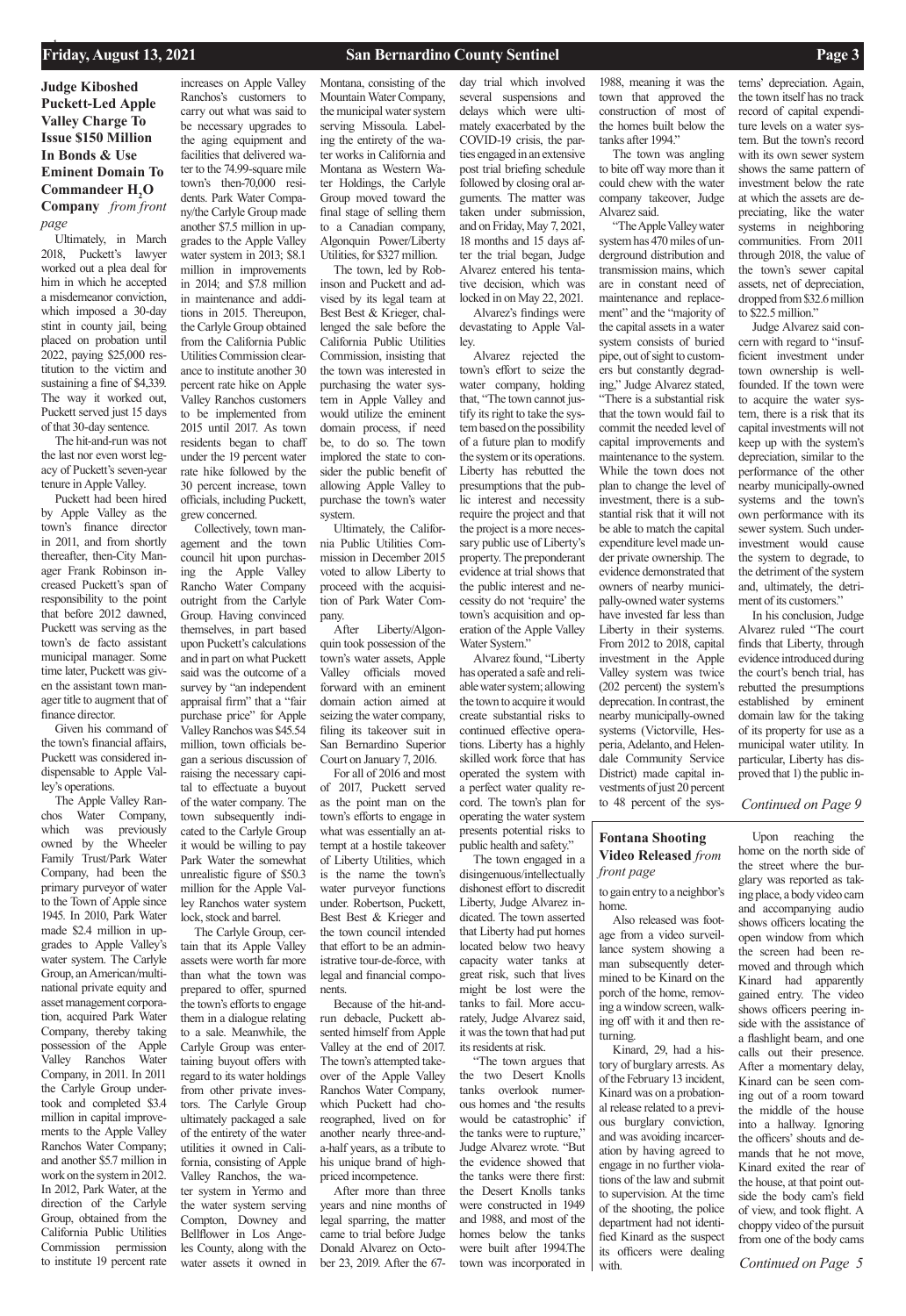### **Friday, August 13, 2021** <sup>1</sup> **San Bernardino County Sentinel Page 3**

### *Continued on Page 9*

*Continued on Page 5*

**Judge Kiboshed Puckett-Led Apple Valley Charge To Issue \$150 Million In Bonds & Use Eminent Domain To Commandeer H<sub>2</sub>O Company** *from front page*

### **Fontana Shooting Video Released** *from front page*

Ultimately, in March 2018, Puckett's lawyer worked out a plea deal for him in which he accepted a misdemeanor conviction, which imposed a 30-day stint in county jail, being placed on probation until 2022, paying \$25,000 restitution to the victim and sustaining a fine of \$4,339. The way it worked out, Puckett served just 15 days of that 30-day sentence.

The hit-and-run was not the last nor even worst legacy of Puckett's seven-year tenure in Apple Valley.

Puckett had been hired by Apple Valley as the town's finance director in 2011, and from shortly thereafter, then-City Manager Frank Robinson increased Puckett's span of responsibility to the point that before 2012 dawned, Puckett was serving as the town's de facto assistant municipal manager. Some time later, Puckett was given the assistant town manager title to augment that of finance director.

Given his command of the town's financial affairs, Puckett was considered indispensable to Apple Valley's operations.

The Apple Valley Ranchos Water Company, which was previously owned by the Wheeler Family Trust/Park Water Company, had been the primary purveyor of water to the Town of Apple since 1945. In 2010, Park Water made \$2.4 million in upgrades to Apple Valley's water system. The Carlyle Group, an American/multinational private equity and asset management corporation, acquired Park Water Company, thereby taking possession of the Apple Valley Ranchos Water Company, in 2011. In 2011 the Carlyle Group undertook and completed \$3.4 million in capital improvements to the Apple Valley Ranchos Water Company; and another \$5.7 million in work on the system in 2012. In 2012, Park Water, at the direction of the Carlyle Group, obtained from the California Public Utilities Commission permission to institute 19 percent rate

increases on Apple Valley Ranchos's customers to carry out what was said to be necessary upgrades to the aging equipment and facilities that delivered water to the 74.99-square mile town's then-70,000 residents. Park Water Company/the Carlyle Group made another \$7.5 million in upgrades to the Apple Valley water system in 2013; \$8.1 million in improvements in 2014; and \$7.8 million in maintenance and additions in 2015. Thereupon, the Carlyle Group obtained from the California Public Utilities Commission clearance to institute another 30 percent rate hike on Apple Valley Ranchos customers to be implemented from 2015 until 2017. As town residents began to chaff under the 19 percent water rate hike followed by the 30 percent increase, town officials, including Puckett,

grew concerned. Collectively, town management and the town council hit upon purchasing the Apple Valley Rancho Water Company outright from the Carlyle Group. Having convinced themselves, in part based upon Puckett's calculations and in part on what Puckett said was the outcome of a survey by "an independent appraisal firm" that a "fair purchase price" for Apple Valley Ranchos was \$45.54 million, town officials began a serious discussion of raising the necessary capital to effectuate a buyout of the water company. The town subsequently indicated to the Carlyle Group it would be willing to pay Park Water the somewhat unrealistic figure of \$50.3 million for the Apple Valley Ranchos water system lock, stock and barrel.

The Carlyle Group, certain that its Apple Valley assets were worth far more than what the town was prepared to offer, spurned the town's efforts to engage them in a dialogue relating to a sale. Meanwhile, the Carlyle Group was entertaining buyout offers with regard to its water holdings from other private investors. The Carlyle Group ultimately packaged a sale of the entirety of the water utilities it owned in California, consisting of Apple Valley Ranchos, the water system in Yermo and the water system serving Compton, Downey and Bellflower in Los Angeles County, along with the water assets it owned in Montana, consisting of the Mountain Water Company, the municipal water system serving Missoula. Labeling the entirety of the water works in California and Montana as Western Water Holdings, the Carlyle Group moved toward the final stage of selling them to a Canadian company, Algonquin Power/Liberty Utilities, for \$327 million.

The town, led by Robinson and Puckett and advised by its legal team at Best Best & Krieger, challenged the sale before the California Public Utilities Commission, insisting that the town was interested in purchasing the water system in Apple Valley and would utilize the eminent domain process, if need be, to do so. The town implored the state to consider the public benefit of allowing Apple Valley to purchase the town's water system.

Ultimately, the California Public Utilities Commission in December 2015 voted to allow Liberty to proceed with the acquisition of Park Water Company.

After Liberty/Algonquin took possession of the town's water assets, Apple Valley officials moved forward with an eminent domain action aimed at seizing the water company, filing its takeover suit in San Bernardino Superior Court on January 7, 2016.

For all of 2016 and most of 2017, Puckett served as the point man on the town's efforts to engage in what was essentially an attempt at a hostile takeover of Liberty Utilities, which is the name the town's water purveyor functions under. Robertson, Puckett, Best Best & Krieger and the town council intended that effort to be an administrative tour-de-force, with legal and financial components.

Because of the hit-andrun debacle, Puckett ab-

sented himself from Apple Valley at the end of 2017. The town's attempted takeover of the Apple Valley Ranchos Water Company, which Puckett had choreographed, lived on for another nearly three-anda-half years, as a tribute to his unique brand of highpriced incompetence. After more than three years and nine months of legal sparring, the matter came to trial before Judge Donald Alvarez on Octo-

ber 23, 2019. After the 67-

day trial which involved several suspensions and delays which were ultimately exacerbated by the COVID-19 crisis, the parties engaged in an extensive post trial briefing schedule followed by closing oral arguments. The matter was taken under submission, and on Friday, May 7, 2021, 18 months and 15 days after the trial began, Judge Alvarez entered his tentative decision, which was locked in on May 22, 2021.

Alvarez's findings were devastating to Apple Valley.

Alvarez rejected the town's effort to seize the water company, holding that, "The town cannot justify its right to take the system based on the possibility of a future plan to modify the system or its operations. Liberty has rebutted the presumptions that the public interest and necessity require the project and that the project is a more necessary public use of Liberty's property. The preponderant evidence at trial shows that the public interest and necessity do not 'require' the town's acquisition and operation of the Apple Valley Water System."

Alvarez found, "Liberty has operated a safe and reliable water system; allowing the town to acquire it would create substantial risks to continued effective operations. Liberty has a highly skilled work force that has operated the system with a perfect water quality record. The town's plan for operating the water system presents potential risks to

public health and safety." The town engaged in a

disingenuous/intellectually dishonest effort to discredit Liberty, Judge Alvarez indicated. The town asserted that Liberty had put homes located below two heavy capacity water tanks at great risk, such that lives might be lost were the tanks to fail. More accurately, Judge Alvarez said,

it was the town that had put its residents at risk.

1988, meaning it was the town that approved the construction of most of the homes built below the tanks after 1994."

The town was angling to bite off way more than it could chew with the water company takeover, Judge Alvarez said.

"The Apple Valley water system has 470 miles of underground distribution and transmission mains, which are in constant need of maintenance and replacement" and the "majority of the capital assets in a water system consists of buried pipe, out of sight to customers but constantly degrading," Judge Alvarez stated, "There is a substantial risk that the town would fail to commit the needed level of capital improvements and maintenance to the system. While the town does not plan to change the level of investment, there is a substantial risk that it will not be able to match the capital expenditure level made under private ownership. The evidence demonstrated that owners of nearby municipally-owned water systems have invested far less than Liberty in their systems. From 2012 to 2018, capital investment in the Apple Valley system was twice (202 percent) the system's deprecation. In contrast, the nearby municipally-owned systems (Victorville, Hesperia, Adelanto, and Helendale Community Service District) made capital investments of just 20 percent to 48 percent of the sys-

"The town argues that the two Desert Knolls tanks overlook numerous homes and 'the results would be catastrophic' if the tanks were to rupture," Judge Alvarez wrote. "But the evidence showed that the tanks were there first: the Desert Knolls tanks were constructed in 1949 and 1988, and most of the homes below the tanks were built after 1994.The town was incorporated in tory of burglary arrests. As of the February 13 incident, Kinard was on a probational release related to a previous burglary conviction, and was avoiding incarceration by having agreed to engage in no further violations of the law and submit to supervision. At the time of the shooting, the police department had not identified Kinard as the suspect its officers were dealing with.

tems' depreciation. Again, the town itself has no track record of capital expenditure levels on a water system. But the town's record with its own sewer system shows the same pattern of investment below the rate at which the assets are depreciating, like the water systems in neighboring communities. From 2011 through 2018, the value of the town's sewer capital assets, net of depreciation, dropped from \$32.6 million to \$22.5 million."

Judge Alvarez said concern with regard to "insufficient investment under town ownership is wellfounded. If the town were to acquire the water system, there is a risk that its capital investments will not keep up with the system's depreciation, similar to the performance of the other nearby municipally-owned systems and the town's own performance with its sewer system. Such underinvestment would cause the system to degrade, to the detriment of the system and, ultimately, the detriment of its customers."

In his conclusion, Judge Alvarez ruled "The court finds that Liberty, through evidence introduced during the court's bench trial, has rebutted the presumptions established by eminent domain law for the taking of its property for use as a municipal water utility. In particular, Liberty has disproved that 1) the public in-

### to gain entry to a neighbor's home.

Also released was footage from a video surveillance system showing a man subsequently determined to be Kinard on the porch of the home, removing a window screen, walking off with it and then returning.

Kinard, 29, had a his-

Upon reaching the home on the north side of the street where the burglary was reported as taking place, a body video cam and accompanying audio shows officers locating the open window from which the screen had been removed and through which Kinard had apparently gained entry. The video shows officers peering inside with the assistance of a flashlight beam, and one calls out their presence. After a momentary delay, Kinard can be seen coming out of a room toward the middle of the house into a hallway. Ignoring the officers' shouts and demands that he not move, Kinard exited the rear of the house, at that point outside the body cam's field of view, and took flight. A choppy video of the pursuit from one of the body cams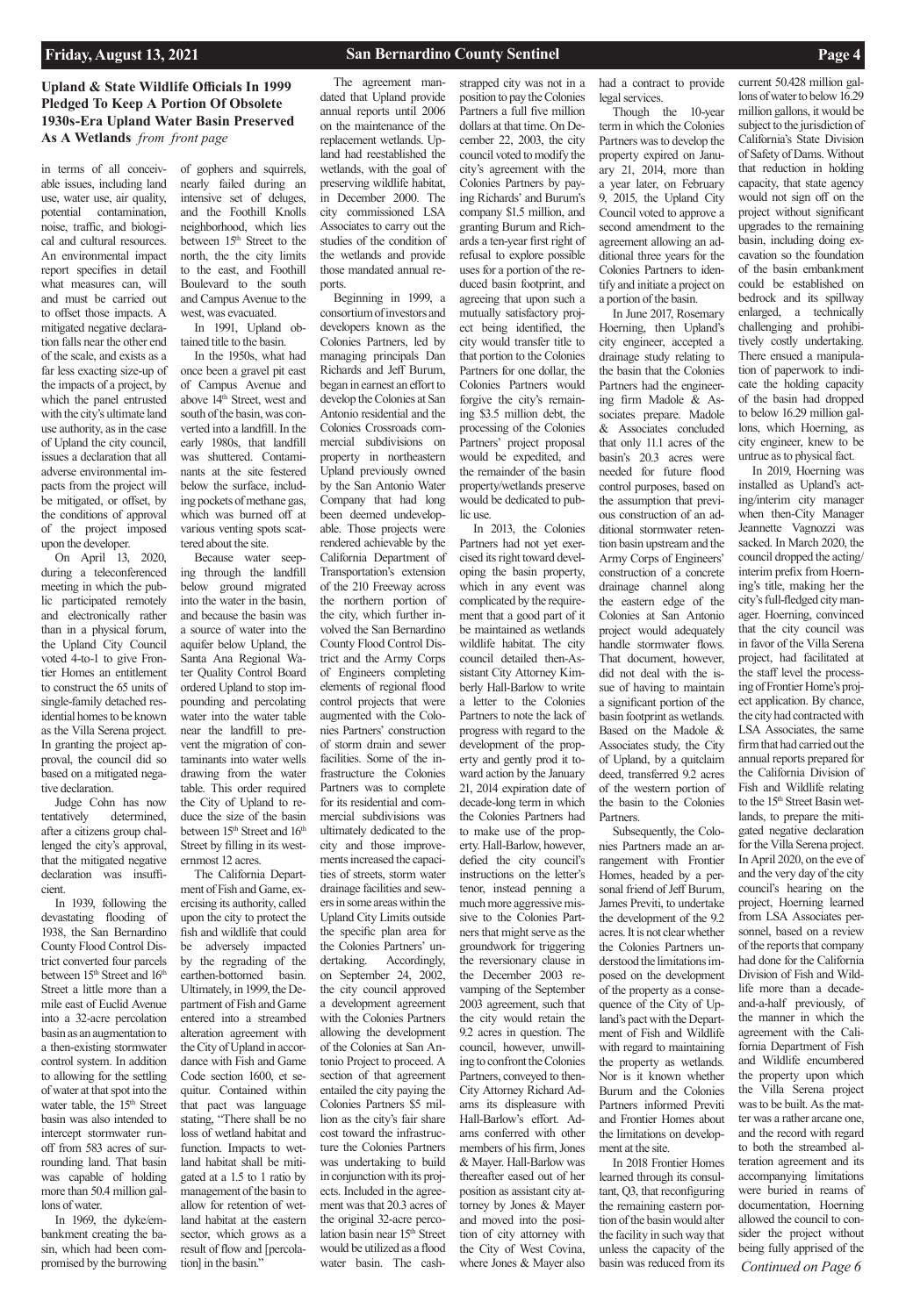## **Upland & State Wildlife Officials In 1999 Pledged To Keep A Portion Of Obsolete 1930s-Era Upland Water Basin Preserved As A Wetlands** *from front page*

in terms of all conceivable issues, including land use, water use, air quality, potential contamination, noise, traffic, and biological and cultural resources. An environmental impact report specifies in detail what measures can, will and must be carried out to offset those impacts. A mitigated negative declaration falls near the other end of the scale, and exists as a far less exacting size-up of the impacts of a project, by which the panel entrusted with the city's ultimate land use authority, as in the case of Upland the city council, issues a declaration that all adverse environmental impacts from the project will be mitigated, or offset, by the conditions of approval of the project imposed upon the developer.

On April 13, 2020, during a teleconferenced meeting in which the public participated remotely and electronically rather than in a physical forum, the Upland City Council voted 4-to-1 to give Frontier Homes an entitlement to construct the 65 units of single-family detached residential homes to be known as the Villa Serena project. In granting the project approval, the council did so based on a mitigated negative declaration.

Judge Cohn has now tentatively determined, after a citizens group challenged the city's approval, that the mitigated negative declaration was insufficient.

In 1939, following the devastating flooding of 1938, the San Bernardino County Flood Control District converted four parcels between 15<sup>th</sup> Street and 16<sup>th</sup> Street a little more than a mile east of Euclid Avenue into a 32-acre percolation basin as an augmentation to a then-existing stormwater control system. In addition to allowing for the settling of water at that spot into the water table, the 15<sup>th</sup> Street basin was also intended to intercept stormwater runoff from 583 acres of surrounding land. That basin was capable of holding more than 50.4 million gallons of water.

In 1969, the dyke/embankment creating the basin, which had been compromised by the burrowing

of gophers and squirrels, nearly failed during an intensive set of deluges, and the Foothill Knolls neighborhood, which lies between 15<sup>th</sup> Street to the north, the the city limits to the east, and Foothill Boulevard to the south and Campus Avenue to the west, was evacuated.

In 1991, Upland obtained title to the basin.

In the 1950s, what had once been a gravel pit east of Campus Avenue and above 14<sup>th</sup> Street, west and south of the basin, was converted into a landfill. In the early 1980s, that landfill was shuttered. Contaminants at the site festered below the surface, including pockets of methane gas, which was burned off at various venting spots scattered about the site.

Because water seeping through the landfill below ground migrated into the water in the basin, and because the basin was a source of water into the aquifer below Upland, the Santa Ana Regional Water Quality Control Board ordered Upland to stop impounding and percolating water into the water table near the landfill to prevent the migration of contaminants into water wells drawing from the water table. This order required the City of Upland to reduce the size of the basin between 15<sup>th</sup> Street and 16<sup>th</sup> Street by filling in its westernmost 12 acres.

The California Department of Fish and Game, exercising its authority, called upon the city to protect the fish and wildlife that could be adversely impacted by the regrading of the earthen-bottomed basin. Ultimately, in 1999, the Department of Fish and Game entered into a streambed alteration agreement with the City of Upland in accordance with Fish and Game Code section 1600, et sequitur. Contained within that pact was language stating, "There shall be no loss of wetland habitat and function. Impacts to wetland habitat shall be mitigated at a 1.5 to 1 ratio by management of the basin to allow for retention of wetland habitat at the eastern sector, which grows as a result of flow and [percolation] in the basin."

wetlands, with the goal of preserving wildlife habitat, in December 2000. The city commissioned LSA Associates to carry out the studies of the condition of the wetlands and provide those mandated annual reports.

### The agreement mandated that Upland provide annual reports until 2006 on the maintenance of the replacement wetlands. Upland had reestablished the strapped city was not in a

Beginning in 1999, a consortium of investors and developers known as the Colonies Partners, led by managing principals Dan Richards and Jeff Burum, began in earnest an effort to develop the Colonies at San Antonio residential and the Colonies Crossroads commercial subdivisions on property in northeastern Upland previously owned by the San Antonio Water Company that had long been deemed undevelopable. Those projects were rendered achievable by the California Department of Transportation's extension of the 210 Freeway across the northern portion of the city, which further involved the San Bernardino County Flood Control District and the Army Corps of Engineers completing elements of regional flood control projects that were augmented with the Colonies Partners' construction of storm drain and sewer facilities. Some of the infrastructure the Colonies Partners was to complete for its residential and commercial subdivisions was ultimately dedicated to the city and those improvements increased the capacities of streets, storm water drainage facilities and sewers in some areas within the Upland City Limits outside the specific plan area for the Colonies Partners' undertaking. Accordingly, on September 24, 2002, the city council approved a development agreement with the Colonies Partners allowing the development of the Colonies at San Antonio Project to proceed. A section of that agreement entailed the city paying the Colonies Partners \$5 million as the city's fair share cost toward the infrastructure the Colonies Partners was undertaking to build in conjunction with its projects. Included in the agreement was that 20.3 acres of the original 32-acre percolation basin near 15<sup>th</sup> Street would be utilized as a flood water basin. The cash-

*Continued on Page 6* In 2019, Hoerning was installed as Upland's acting/interim city manager when then-City Manager Jeannette Vagnozzi was sacked. In March 2020, the council dropped the acting/ interim prefix from Hoerning's title, making her the city's full-fledged city manager. Hoerning, convinced that the city council was in favor of the Villa Serena project, had facilitated at the staff level the processing of Frontier Home's project application. By chance, the city had contracted with LSA Associates, the same firm that had carried out the annual reports prepared for the California Division of Fish and Wildlife relating to the 15<sup>th</sup> Street Basin wetlands, to prepare the mitigated negative declaration for the Villa Serena project. In April 2020, on the eve of and the very day of the city council's hearing on the project, Hoerning learned from LSA Associates personnel, based on a review of the reports that company had done for the California Division of Fish and Wildlife more than a decadeand-a-half previously, of the manner in which the agreement with the California Department of Fish and Wildlife encumbered the property upon which the Villa Serena project was to be built. As the matter was a rather arcane one, and the record with regard to both the streambed alteration agreement and its accompanying limitations were buried in reams of documentation, Hoerning allowed the council to consider the project without being fully apprised of the

position to pay the Colonies Partners a full five million dollars at that time. On December 22, 2003, the city council voted to modify the city's agreement with the Colonies Partners by paying Richards' and Burum's company \$1.5 million, and granting Burum and Richards a ten-year first right of refusal to explore possible uses for a portion of the reduced basin footprint, and agreeing that upon such a mutually satisfactory project being identified, the city would transfer title to that portion to the Colonies Partners for one dollar, the Colonies Partners would forgive the city's remaining \$3.5 million debt, the processing of the Colonies Partners' project proposal would be expedited, and the remainder of the basin property/wetlands preserve would be dedicated to public use.

In 2013, the Colonies Partners had not yet exercised its right toward developing the basin property, which in any event was complicated by the requirement that a good part of it be maintained as wetlands wildlife habitat. The city council detailed then-Assistant City Attorney Kimberly Hall-Barlow to write a letter to the Colonies Partners to note the lack of progress with regard to the development of the property and gently prod it toward action by the January 21, 2014 expiration date of decade-long term in which the Colonies Partners had to make use of the property. Hall-Barlow, however, defied the city council's instructions on the letter's tenor, instead penning a much more aggressive missive to the Colonies Partners that might serve as the groundwork for triggering the reversionary clause in the December 2003 revamping of the September 2003 agreement, such that the city would retain the 9.2 acres in question. The council, however, unwilling to confront the Colonies Partners, conveyed to then-City Attorney Richard Adams its displeasure with Hall-Barlow's effort. Adams conferred with other members of his firm, Jones & Mayer. Hall-Barlow was thereafter eased out of her position as assistant city attorney by Jones & Mayer and moved into the position of city attorney with the City of West Covina, where Jones & Mayer also

had a contract to provide legal services.

Though the 10-year term in which the Colonies Partners was to develop the property expired on January 21, 2014, more than a year later, on February 9, 2015, the Upland City Council voted to approve a second amendment to the agreement allowing an additional three years for the Colonies Partners to identify and initiate a project on a portion of the basin.

In June 2017, Rosemary Hoerning, then Upland's city engineer, accepted a drainage study relating to the basin that the Colonies Partners had the engineering firm Madole & Associates prepare. Madole & Associates concluded that only 11.1 acres of the basin's 20.3 acres were needed for future flood control purposes, based on the assumption that previous construction of an additional stormwater retention basin upstream and the Army Corps of Engineers' construction of a concrete drainage channel along the eastern edge of the Colonies at San Antonio project would adequately handle stormwater flows. That document, however, did not deal with the issue of having to maintain a significant portion of the basin footprint as wetlands. Based on the Madole & Associates study, the City of Upland, by a quitclaim deed, transferred 9.2 acres of the western portion of the basin to the Colonies Partners.

Subsequently, the Colonies Partners made an arrangement with Frontier Homes, headed by a personal friend of Jeff Burum, James Previti, to undertake the development of the 9.2 acres. It is not clear whether the Colonies Partners understood the limitations imposed on the development of the property as a consequence of the City of Upland's pact with the Department of Fish and Wildlife with regard to maintaining the property as wetlands. Nor is it known whether Burum and the Colonies Partners informed Previti and Frontier Homes about the limitations on development at the site. In 2018 Frontier Homes learned through its consultant, Q3, that reconfiguring the remaining eastern portion of the basin would alter

the facility in such way that unless the capacity of the basin was reduced from its

### current 50.428 million gallons of water to below 16.29 million gallons, it would be subject to the jurisdiction of California's State Division of Safety of Dams. Without that reduction in holding capacity, that state agency would not sign off on the project without significant upgrades to the remaining basin, including doing excavation so the foundation of the basin embankment could be established on bedrock and its spillway enlarged, a technically challenging and prohibi-

tively costly undertaking. There ensued a manipulation of paperwork to indicate the holding capacity of the basin had dropped to below 16.29 million gallons, which Hoerning, as city engineer, knew to be untrue as to physical fact.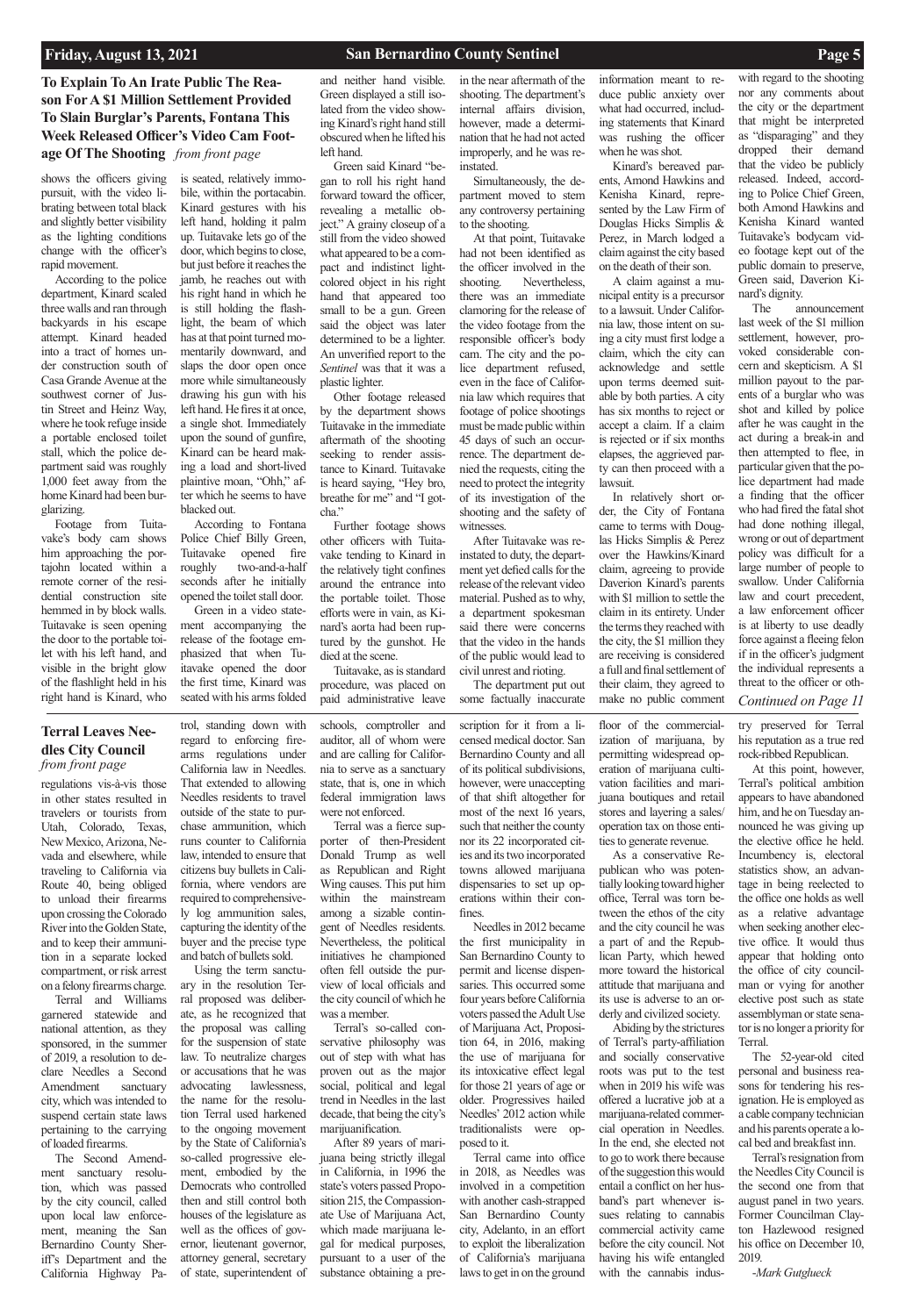## **To Explain To An Irate Public The Reason For A \$1 Million Settlement Provided To Slain Burglar's Parents, Fontana This Week Released Officer's Video Cam Footage Of The Shooting** *from front page*

regulations vis-à-vis those in other states resulted in travelers or tourists from Utah, Colorado, Texas, New Mexico, Arizona, Nevada and elsewhere, while traveling to California via Route 40, being obliged to unload their firearms upon crossing the Colorado River into the Golden State, and to keep their ammunition in a separate locked compartment, or risk arrest on a felony firearms charge.

Terral and Williams garnered statewide and national attention, as they sponsored, in the summer of 2019, a resolution to declare Needles a Second Amendment sanctuary city, which was intended to suspend certain state laws pertaining to the carrying of loaded firearms. The Second Amendment sanctuary resolution, which was passed by the city council, called upon local law enforcement, meaning the San Bernardino County Sheriff's Department and the California Highway Pa-

trol, standing down with regard to enforcing firearms regulations under California law in Needles. That extended to allowing Needles residents to travel outside of the state to purchase ammunition, which runs counter to California law, intended to ensure that citizens buy bullets in California, where vendors are required to comprehensively log ammunition sales, capturing the identity of the buyer and the precise type and batch of bullets sold.

Using the term sanctuary in the resolution Terral proposed was deliberate, as he recognized that the proposal was calling for the suspension of state law. To neutralize charges or accusations that he was advocating lawlessness, the name for the resolution Terral used harkened to the ongoing movement by the State of California's so-called progressive element, embodied by the Democrats who controlled then and still control both houses of the legislature as well as the offices of governor, lieutenant governor, attorney general, secretary of state, superintendent of

schools, comptroller and auditor, all of whom were and are calling for California to serve as a sanctuary state, that is, one in which federal immigration laws were not enforced.

Terral was a fierce supporter of then-President Donald Trump as well as Republican and Right Wing causes. This put him within the mainstream among a sizable contingent of Needles residents. Nevertheless, the political initiatives he championed often fell outside the purview of local officials and the city council of which he was a member.

Terral's so-called con-

servative philosophy was out of step with what has proven out as the major social, political and legal trend in Needles in the last decade, that being the city's marijuanification.

After 89 years of marijuana being strictly illegal in California, in 1996 the state's voters passed Proposition 215, the Compassionate Use of Marijuana Act, which made marijuana legal for medical purposes, pursuant to a user of the substance obtaining a pre-

scription for it from a licensed medical doctor. San Bernardino County and all of its political subdivisions, however, were unaccepting of that shift altogether for most of the next 16 years, such that neither the county nor its 22 incorporated cities and its two incorporated towns allowed marijuana dispensaries to set up operations within their confines.

floor of the commercialization of marijuana, by permitting widespread operation of marijuana cultivation facilities and marijuana boutiques and retail stores and layering a sales/ operation tax on those entities to generate revenue.

Other footage released by the department shows Tuitavake in the immediate aftermath of the shooting seeking to render assistance to Kinard. Tuitavake is heard saying, "Hey bro, breathe for me" and "I gotcha."

> Needles in 2012 became the first municipality in San Bernardino County to permit and license dispensaries. This occurred some four years before California voters passed the Adult Use of Marijuana Act, Proposition 64, in 2016, making the use of marijuana for its intoxicative effect legal for those 21 years of age or older. Progressives hailed Needles' 2012 action while traditionalists were opposed to it. Terral came into office in 2018, as Needles was involved in a competition with another cash-strapped San Bernardino County city, Adelanto, in an effort to exploit the liberalization of California's marijuana laws to get in on the ground band's part whenever issues relating to cannabis commercial activity came before the city council. Not having his wife entangled with the cannabis indus-

As a conservative Republican who was potentially looking toward higher office, Terral was torn between the ethos of the city and the city council he was a part of and the Republican Party, which hewed more toward the historical attitude that marijuana and its use is adverse to an orderly and civilized society. Abiding by the strictures

of Terral's party-affiliation and socially conservative roots was put to the test when in 2019 his wife was offered a lucrative job at a marijuana-related commercial operation in Needles. In the end, she elected not to go to work there because of the suggestion this would entail a conflict on her hus-

try preserved for Terral his reputation as a true red rock-ribbed Republican.

At this point, however, Terral's political ambition appears to have abandoned him, and he on Tuesday announced he was giving up the elective office he held. Incumbency is, electoral statistics show, an advantage in being reelected to the office one holds as well as a relative advantage when seeking another elective office. It would thus appear that holding onto the office of city councilman or vying for another elective post such as state assemblyman or state senator is no longer a priority for Terral. The 52-year-old cited personal and business reasons for tendering his resignation. He is employed as a cable company technician and his parents operate a local bed and breakfast inn. Terral's resignation from the Needles City Council is the second one from that august panel in two years. Former Councilman Clayton Hazlewood resigned his office on December 10, 2019.

-*Mark Gutglueck*

### **Terral Leaves Needles City Council**  *from front page*

shows the officers giving pursuit, with the video librating between total black and slightly better visibility as the lighting conditions change with the officer's rapid movement.

> *Continued on Page 11* The announcement last week of the \$1 million settlement, however, provoked considerable concern and skepticism. A \$1 million payout to the parents of a burglar who was shot and killed by police after he was caught in the act during a break-in and then attempted to flee, in particular given that the police department had made a finding that the officer who had fired the fatal shot had done nothing illegal, wrong or out of department policy was difficult for a large number of people to swallow. Under California law and court precedent, a law enforcement officer is at liberty to use deadly force against a fleeing felon if in the officer's judgment the individual represents a threat to the officer or oth-

According to the police department, Kinard scaled three walls and ran through backyards in his escape attempt. Kinard headed into a tract of homes under construction south of Casa Grande Avenue at the southwest corner of Justin Street and Heinz Way, where he took refuge inside a portable enclosed toilet stall, which the police department said was roughly 1,000 feet away from the home Kinard had been burglarizing.

Footage from Tuitavake's body cam shows him approaching the portajohn located within a remote corner of the residential construction site hemmed in by block walls. Tuitavake is seen opening the door to the portable toilet with his left hand, and visible in the bright glow of the flashlight held in his right hand is Kinard, who

is seated, relatively immobile, within the portacabin. Kinard gestures with his left hand, holding it palm up. Tuitavake lets go of the door, which begins to close, but just before it reaches the jamb, he reaches out with his right hand in which he is still holding the flashlight, the beam of which has at that point turned momentarily downward, and slaps the door open once more while simultaneously drawing his gun with his left hand. He fires it at once, a single shot. Immediately upon the sound of gunfire, Kinard can be heard making a load and short-lived plaintive moan, "Ohh," after which he seems to have blacked out.

According to Fontana Police Chief Billy Green, Tuitavake opened fire roughly two-and-a-half seconds after he initially opened the toilet stall door.

Green in a video statement accompanying the release of the footage emphasized that when Tuitavake opened the door the first time, Kinard was seated with his arms folded and neither hand visible. Green displayed a still isolated from the video showing Kinard's right hand still obscured when he lifted his left hand.

Green said Kinard "began to roll his right hand forward toward the officer, revealing a metallic object." A grainy closeup of a still from the video showed what appeared to be a compact and indistinct lightcolored object in his right hand that appeared too small to be a gun. Green said the object was later determined to be a lighter. An unverified report to the *Sentinel* was that it was a plastic lighter.

Further footage shows other officers with Tuitavake tending to Kinard in the relatively tight confines around the entrance into the portable toilet. Those efforts were in vain, as Kinard's aorta had been ruptured by the gunshot. He died at the scene.

Tuitavake, as is standard procedure, was placed on paid administrative leave in the near aftermath of the shooting. The department's internal affairs division, however, made a determination that he had not acted improperly, and he was reinstated.

Simultaneously, the department moved to stem any controversy pertaining to the shooting.

At that point, Tuitavake had not been identified as the officer involved in the shooting. Nevertheless, there was an immediate clamoring for the release of the video footage from the responsible officer's body cam. The city and the police department refused, even in the face of California law which requires that footage of police shootings must be made public within 45 days of such an occurrence. The department denied the requests, citing the need to protect the integrity of its investigation of the shooting and the safety of witnesses.

After Tuitavake was reinstated to duty, the department yet defied calls for the release of the relevant video material. Pushed as to why, a department spokesman said there were concerns that the video in the hands of the public would lead to civil unrest and rioting.

The department put out some factually inaccurate information meant to reduce public anxiety over what had occurred, including statements that Kinard was rushing the officer when he was shot.

Kinard's bereaved parents, Amond Hawkins and Kenisha Kinard, represented by the Law Firm of Douglas Hicks Simplis & Perez, in March lodged a claim against the city based on the death of their son.

A claim against a municipal entity is a precursor to a lawsuit. Under California law, those intent on suing a city must first lodge a claim, which the city can acknowledge and settle upon terms deemed suitable by both parties. A city has six months to reject or accept a claim. If a claim is rejected or if six months elapses, the aggrieved party can then proceed with a lawsuit.

In relatively short order, the City of Fontana came to terms with Douglas Hicks Simplis & Perez over the Hawkins/Kinard claim, agreeing to provide Daverion Kinard's parents with \$1 million to settle the claim in its entirety. Under the terms they reached with the city, the \$1 million they are receiving is considered a full and final settlement of their claim, they agreed to make no public comment

with regard to the shooting nor any comments about the city or the department that might be interpreted as "disparaging" and they dropped their demand that the video be publicly released. Indeed, according to Police Chief Green, both Amond Hawkins and Kenisha Kinard wanted Tuitavake's bodycam video footage kept out of the public domain to preserve, Green said, Daverion Kinard's dignity.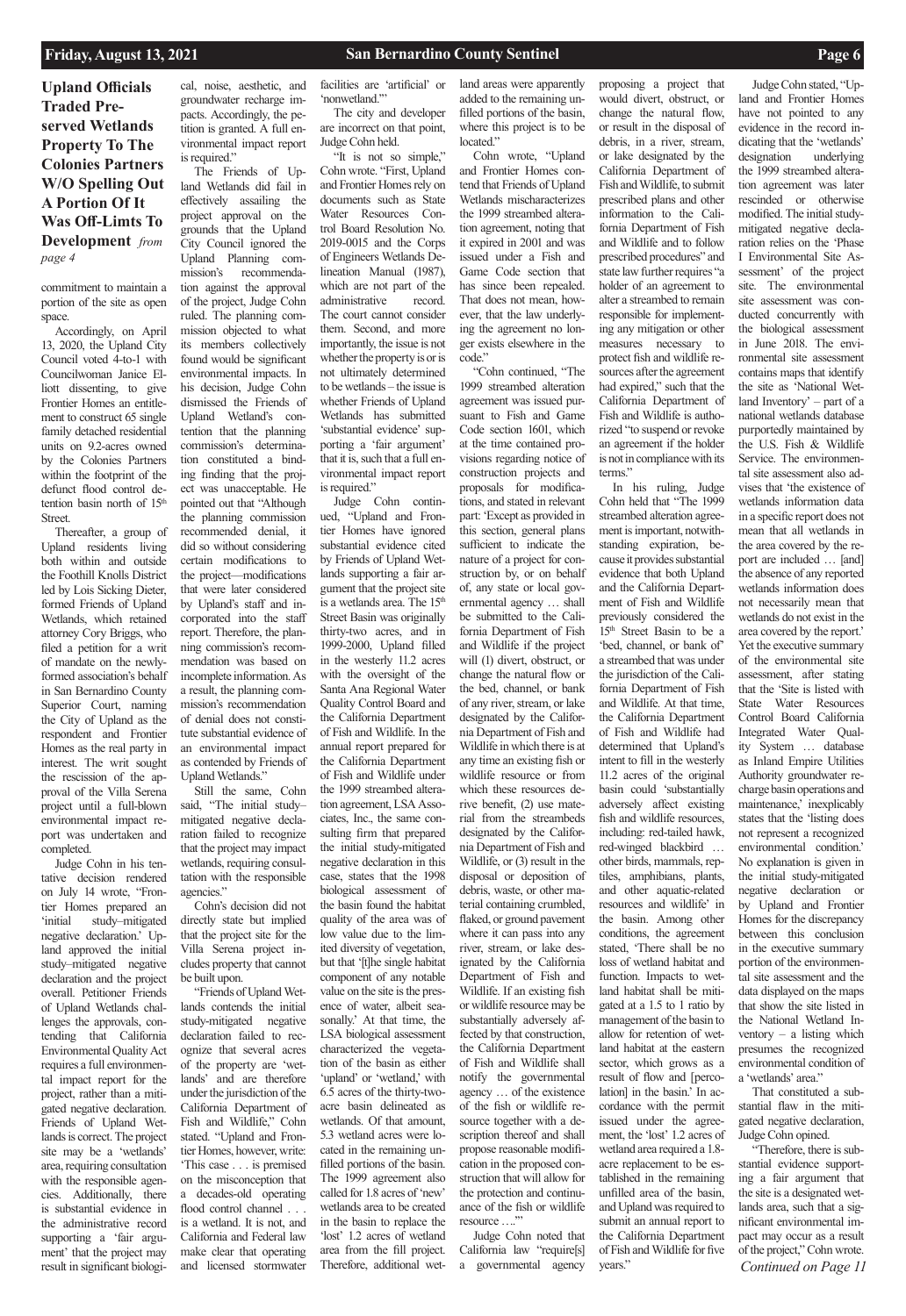**Upland Officials Traded Preserved Wetlands Property To The Colonies Partners W/O Spelling Out A Portion Of It Was Off-Limts To Development** *from page 4*

commitment to maintain a portion of the site as open space.

Accordingly, on April 13, 2020, the Upland City Council voted 4-to-1 with Councilwoman Janice Elliott dissenting, to give Frontier Homes an entitlement to construct 65 single family detached residential units on 9.2-acres owned by the Colonies Partners within the footprint of the defunct flood control detention basin north of 15<sup>th</sup> Street.

Thereafter, a group of Upland residents living both within and outside the Foothill Knolls District led by Lois Sicking Dieter, formed Friends of Upland Wetlands, which retained attorney Cory Briggs, who filed a petition for a writ of mandate on the newlyformed association's behalf in San Bernardino County Superior Court, naming the City of Upland as the respondent and Frontier Homes as the real party in interest. The writ sought the rescission of the approval of the Villa Serena project until a full-blown environmental impact report was undertaken and completed.

Judge Cohn in his tentative decision rendered on July 14 wrote, "Frontier Homes prepared an 'initial study–mitigated negative declaration.' Upland approved the initial study–mitigated negative declaration and the project overall. Petitioner Friends of Upland Wetlands challenges the approvals, contending that California Environmental Quality Act requires a full environmental impact report for the project, rather than a mitigated negative declaration. Friends of Upland Wetlands is correct. The project site may be a 'wetlands' area, requiring consultation with the responsible agencies. Additionally, there is substantial evidence in the administrative record supporting a 'fair argument' that the project may result in significant biologi-

cal, noise, aesthetic, and groundwater recharge impacts. Accordingly, the petition is granted. A full environmental impact report is required."

"It is not so simple," Cohn wrote. "First, Upland and Frontier Homes rely on documents such as State Water Resources Control Board Resolution No. 2019-0015 and the Corps of Engineers Wetlands Delineation Manual (1987), which are not part of the administrative record. The court cannot consider them. Second, and more importantly, the issue is not whether the property is or is not ultimately determined to be wetlands – the issue is whether Friends of Upland Wetlands has submitted 'substantial evidence' supporting a 'fair argument' that it is, such that a full environmental impact report is required."

The Friends of Upland Wetlands did fail in effectively assailing the project approval on the grounds that the Upland City Council ignored the Upland Planning commission's recommendation against the approval of the project, Judge Cohn ruled. The planning commission objected to what its members collectively found would be significant environmental impacts. In his decision, Judge Cohn dismissed the Friends of Upland Wetland's contention that the planning commission's determination constituted a binding finding that the project was unacceptable. He pointed out that "Although the planning commission recommended denial, it did so without considering certain modifications to the project—modifications that were later considered by Upland's staff and incorporated into the staff report. Therefore, the planning commission's recommendation was based on incomplete information. As a result, the planning commission's recommendation of denial does not constitute substantial evidence of an environmental impact as contended by Friends of Upland Wetlands."

land areas were apparently added to the remaining unfilled portions of the basin, where this project is to be located."

Still the same, Cohn said, "The initial study– mitigated negative declaration failed to recognize that the project may impact wetlands, requiring consultation with the responsible agencies."

Cohn's decision did not directly state but implied that the project site for the Villa Serena project includes property that cannot be built upon.

"Friends of Upland Wetlands contends the initial study-mitigated negative declaration failed to recognize that several acres of the property are 'wetlands' and are therefore under the jurisdiction of the California Department of Fish and Wildlife," Cohn stated. "Upland and Frontier Homes, however, write: 'This case . . . is premised on the misconception that a decades-old operating flood control channel . . . is a wetland. It is not, and California and Federal law make clear that operating and licensed stormwater

facilities are 'artificial' or 'nonwetland.'"

The city and developer are incorrect on that point, Judge Cohn held.

Judge Cohn continued, "Upland and Frontier Homes have ignored substantial evidence cited by Friends of Upland Wetlands supporting a fair argument that the project site is a wetlands area. The 15<sup>th</sup> Street Basin was originally thirty-two acres, and in 1999-2000, Upland filled in the westerly 11.2 acres with the oversight of the Santa Ana Regional Water Quality Control Board and the California Department of Fish and Wildlife. In the annual report prepared for the California Department of Fish and Wildlife under the 1999 streambed alteration agreement, LSA Associates, Inc., the same consulting firm that prepared the initial study-mitigated negative declaration in this case, states that the 1998 biological assessment of the basin found the habitat quality of the area was of low value due to the limited diversity of vegetation, but that '[t]he single habitat component of any notable value on the site is the presence of water, albeit seasonally.' At that time, the LSA biological assessment characterized the vegetation of the basin as either 'upland' or 'wetland,' with 6.5 acres of the thirty-twoacre basin delineated as wetlands. Of that amount, 5.3 wetland acres were located in the remaining unfilled portions of the basin. The 1999 agreement also called for 1.8 acres of 'new' wetlands area to be created in the basin to replace the 'lost' 1.2 acres of wetland area from the fill project. Therefore, additional wet-

ventory – a listing which presumes the recognized environmental condition of a 'wetlands' area."

*Continued on Page 11* "Therefore, there is substantial evidence supporting a fair argument that the site is a designated wetlands area, such that a significant environmental impact may occur as a result of the project," Cohn wrote.

Cohn wrote, "Upland and Frontier Homes contend that Friends of Upland Wetlands mischaracterizes the 1999 streambed alteration agreement, noting that it expired in 2001 and was issued under a Fish and Game Code section that has since been repealed. That does not mean, however, that the law underlying the agreement no longer exists elsewhere in the code."

"Cohn continued, "The 1999 streambed alteration agreement was issued pursuant to Fish and Game Code section 1601, which at the time contained provisions regarding notice of construction projects and proposals for modifications, and stated in relevant part: 'Except as provided in this section, general plans sufficient to indicate the nature of a project for construction by, or on behalf of, any state or local governmental agency … shall be submitted to the California Department of Fish and Wildlife if the project will (1) divert, obstruct, or change the natural flow or the bed, channel, or bank of any river, stream, or lake designated by the California Department of Fish and Wildlife in which there is at any time an existing fish or wildlife resource or from which these resources derive benefit, (2) use material from the streambeds designated by the California Department of Fish and Wildlife, or (3) result in the disposal or deposition of debris, waste, or other material containing crumbled, flaked, or ground pavement where it can pass into any river, stream, or lake designated by the California Department of Fish and Wildlife. If an existing fish or wildlife resource may be substantially adversely affected by that construction, the California Department of Fish and Wildlife shall notify the governmental agency … of the existence of the fish or wildlife resource together with a description thereof and shall propose reasonable modification in the proposed construction that will allow for the protection and continuance of the fish or wildlife resource ….'" Judge Cohn noted that California law "require[s] a governmental agency

proposing a project that would divert, obstruct, or change the natural flow, or result in the disposal of debris, in a river, stream, or lake designated by the California Department of Fish and Wildlife, to submit prescribed plans and other information to the California Department of Fish and Wildlife and to follow prescribed procedures" and state law further requires "a holder of an agreement to alter a streambed to remain responsible for implementing any mitigation or other measures necessary to protect fish and wildlife resources after the agreement had expired," such that the California Department of Fish and Wildlife is authorized "to suspend or revoke an agreement if the holder is not in compliance with its

terms."

In his ruling, Judge Cohn held that "The 1999 streambed alteration agreement is important, notwithstanding expiration, because it provides substantial evidence that both Upland and the California Department of Fish and Wildlife previously considered the 15<sup>th</sup> Street Basin to be a 'bed, channel, or bank of' a streambed that was under the jurisdiction of the California Department of Fish and Wildlife. At that time, the California Department of Fish and Wildlife had determined that Upland's intent to fill in the westerly 11.2 acres of the original basin could 'substantially adversely affect existing fish and wildlife resources, including: red-tailed hawk, red-winged blackbird … other birds, mammals, reptiles, amphibians, plants, and other aquatic-related resources and wildlife' in the basin. Among other conditions, the agreement stated, 'There shall be no loss of wetland habitat and function. Impacts to wetland habitat shall be mitigated at a 1.5 to 1 ratio by management of the basin to allow for retention of wetland habitat at the eastern sector, which grows as a result of flow and [percolation] in the basin.' In accordance with the permit issued under the agreement, the 'lost' 1.2 acres of wetland area required a 1.8 acre replacement to be established in the remaining unfilled area of the basin, and Upland was required to submit an annual report to the California Department of Fish and Wildlife for five years."

Judge Cohn stated, "Up-

land and Frontier Homes have not pointed to any evidence in the record indicating that the 'wetlands' designation underlying the 1999 streambed alteration agreement was later rescinded or otherwise modified. The initial studymitigated negative declaration relies on the 'Phase I Environmental Site Assessment' of the project site. The environmental site assessment was conducted concurrently with the biological assessment in June 2018. The environmental site assessment contains maps that identify the site as 'National Wetland Inventory' – part of a national wetlands database purportedly maintained by the U.S. Fish & Wildlife Service. The environmental site assessment also advises that 'the existence of wetlands information data in a specific report does not mean that all wetlands in the area covered by the report are included … [and] the absence of any reported wetlands information does not necessarily mean that wetlands do not exist in the area covered by the report.' Yet the executive summary of the environmental site assessment, after stating that the 'Site is listed with State Water Resources Control Board California Integrated Water Quality System … database as Inland Empire Utilities Authority groundwater recharge basin operations and maintenance,' inexplicably states that the 'listing does not represent a recognized environmental condition.' No explanation is given in the initial study-mitigated negative declaration or by Upland and Frontier Homes for the discrepancy between this conclusion in the executive summary portion of the environmental site assessment and the data displayed on the maps that show the site listed in the National Wetland In-

That constituted a substantial flaw in the mitigated negative declaration, Judge Cohn opined.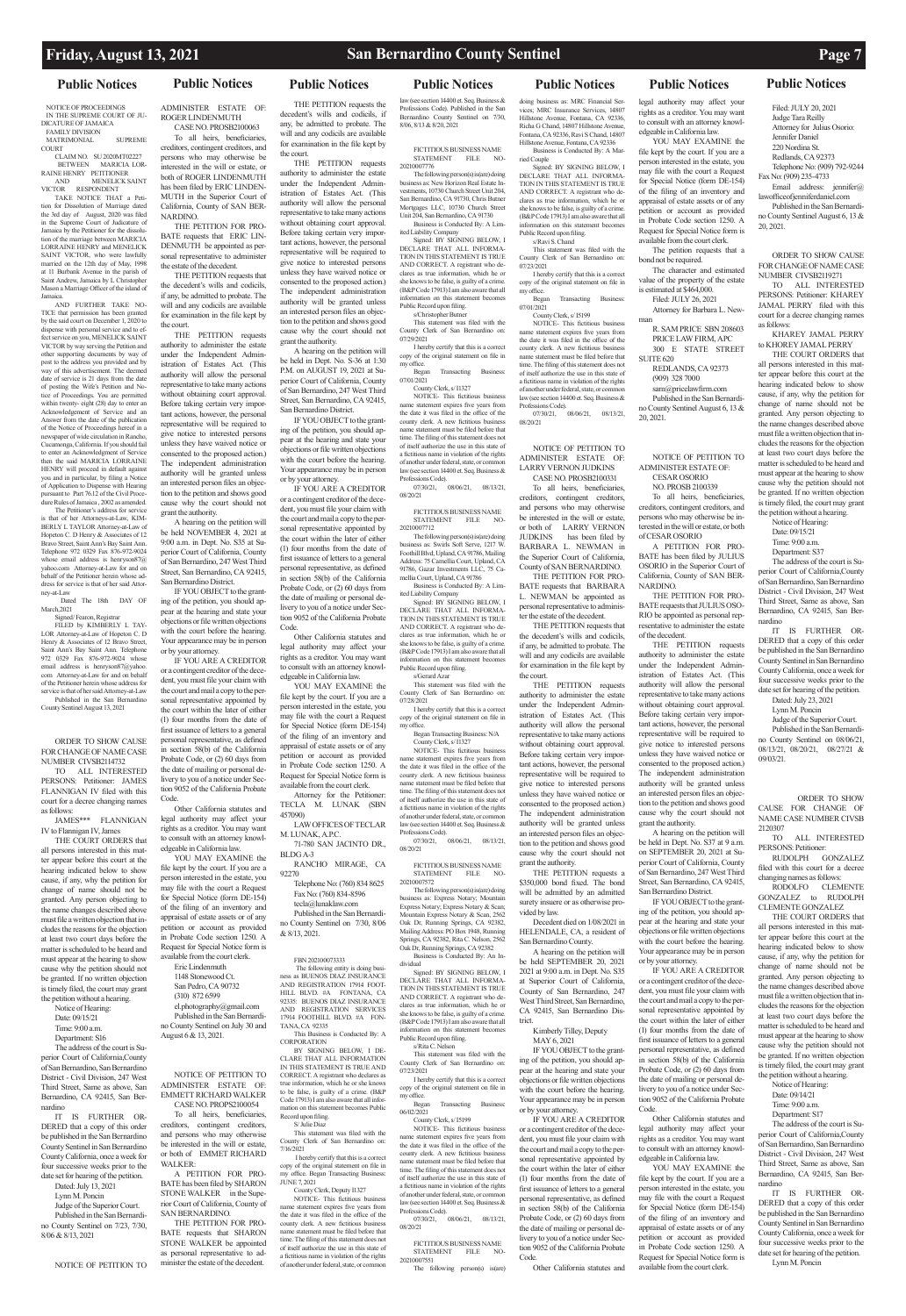### **Public Notices Public Notices Public Notices Public Notices Public Notices Public Notices Public Notices**

NOTICE OF PROCEEDINGS IN THE SUPREME COURT OF JU-DICATURE OF JAMAICA FAMILY DIVISION

MATRIMONIAL SUPREME COURT

CLAIM NO. SU 2020MT02227 BEGENTIONER RAINE HENRY PETITIONER AND MENELICK SAINT VICTOR RESPONDENT

TAKE NOTICE THAT a Petition for Dissolution of Marriage dated the 3rd day of August, 2020 was filed in the Supreme Court of Judicature of Jamaica by the Petitioner for the dissolution of the marriage between MARICIA LORRAINE HENRY and MENELICK

SAINT VICTOR, who were lawfully married on the 12th day of May, 1998 at 11 Burbank Avenue in the parish of Saint Andrew, Jamaica by L Christopher Mason a Marriage Officer of the island of Jamaica. AND FURTHER TAKE NO-

ney-at-Law Dated The 18th DAY OF March<sub>2021</sub>

TICE that permission has been granted by the said court on December 1, 2020 to dispense with personal service and to effect service on you, MENELICK SAINT VICTOR by way serving the Petition and other supporting documents by way of post to the address you provided and by way of this advertisement. The deemed date of service is 21 days from the date of posting the Wife's Petition and Notice of Proceedings. You are permitted within twenty- eight (28) day to enter an Acknowledgement of Service and an Answer from the date of the publication of the Notice of Proceedings hereof in a newspaper of wide circulation in Rancho, Cucamonga, California. If you should fail to enter an Acknowledgment of Service then the said MARICIA LORRAINE HENRY will proceed in default against you and in particular, by filing a Notice of Application to Dispense with Hearing pursuant to Part 76.12 of the Civil Procedure Rules of Jamaica , 2002 as amended.

> me: 9:00 a.m Department: S16

The Petitioner's address for service is that of her Attorneys-at-Law, KIM-BERLY L TAYLOR Attorney-at-Law of Hopeton C. D Henry & Associates of 12 Bravo Street, Saint Ann's Bay Saint Ann. Telephone 972 0329 Fax 876-972-9024 whose email address is henryson87@ yahoo.com Attorney-at-Law for and on half of the Petitioner herein wh dress for service is that of her said Attor-

Signed/ Fearon, Registrar FILED by KIMBERLY L TAY-

LOR Attorney-at-Law of Hopeton C. D Henry & Associates of 12 Bravo Street, Saint Ann's Bay Saint Ann. Telephone 0329 Fax 876-972-9024 whose email address is henryson87@yahoo. com Attorney-at-Law for and on behalf of the Petitioner herein whose address for service is that of her said Attorney-at-Law Published in the San Bernardino

County Sentinel August 13, 2021

ORDER TO SHOW CAUSE FOR CHANGE OF NAME CASE NUMBER CIVSB2114732

TO ALL INTERESTED PERSONS: Petitioner: JAMES FLANNIGAN IV filed with this court for a decree changing names as follows:

JAMES\*\*\* FLANNIGAN IV to Flannigan IV, James

THE COURT ORDERS that all persons interested in this matter appear before this court at the hearing indicated below to show cause, if any, why the petition for change of name should not be granted. Any person objecting to the name changes described above must file a written objection that includes the reasons for the objection at least two court days before the matter is scheduled to be heard and must appear at the hearing to show cause why the petition should not be granted. If no written objection is timely filed, the court may grant the petition without a hearing.

el.photography@gmail.com Published in the San Bernardi-County Sentinel on July 30 and

Notice of Hearing: Date: 09/15/21

The address of the court is Superior Court of California County of San Bernardino, San Bernardino District - Civil Division, 247 West Third Street, Same as above, San Bernardino, CA 92415, San Bernardino

IT IS FURTHER OR-DERED that a copy of this order be published in the San Bernardino County Sentinel in San Bernardino County California, once a week for four successive weeks prior to the date set for hearing of the petition. Dated: July 13, 2021

Lynn M. Poncin Judge of the Superior Court. Published in the San Bernardi-

no County Sentinel on 7/23, 7/30, 8/06 & 8/13, 2021

### NOTICE OF PETITION TO

ADMINISTER ESTATE OF: ROGER LINDENMUTH CASE NO. PROSB2100063

To all heirs, beneficiaries, creditors, contingent creditors, and persons who may otherwise be interested in the will or estate, or both of ROGER LINDENMUTH has been filed by ERIC LINDEN-MUTH in the Superior Court of California, County of SAN BER-

NARDINO. THE PETITION FOR PRO-BATE requests that ERIC LIN-DENMUTH be appointed as personal representative to administer the estate of the decedent.

THE PETITION requests that the decedent's wills and codicils, if any, be admitted to probate. The will and any codicils are available for examination in the file kept by the court.

THE PETITION requests authority to administer the estate under the Independent Administration of Estates Act. (This authority will allow the personal representative to take many actions without obtaining court approval. Before taking certain very important actions, however, the personal representative will be required to give notice to interested persons unless they have waived notice or consented to the proposed action.) The independent administration authority will be granted unless an interested person files an objection to the petition and shows good cause why the court should not

> AND REGISTRATION 17914 FOOT-HILL BLVD. #A FONTANA, CA 92335: BUENOS DIAZ INSURANCE AND REGISTRATION SERVICES 17914 FOOTHILL BLVD. #A FON-TANA, CA 92335 This Business is Conducted By: A CORPORATION BY SIGNING BELOW, I DE-CLARE THAT ALL INFORMATION IN THIS STATEMENT IS TRUE AND CORRECT. A registrant who declares as true information, which he or she knows to be false, is guilty of a crime. (B&P Code 17913) I am also aware that all information on this statement becomes Public Record upon filing.

unty Clerk of San Bernardino on: 7/16/2021 I hereby certify that this is a correct

grant the authority. A hearing on the petition will be held NOVEMBER 4, 2021 at 9:00 a.m. in Dept. No. S35 at Superior Court of California, County of San Bernardino, 247 West Third Street, San Bernardino, CA 92415, San Bernardino District.

> of itself authorize the use in this state of a fictitious name in violation of the rights of another under federal, state, or common

IF YOU OBJECT to the granting of the petition, you should appear at the hearing and state your objections or file written objections with the court before the hearing. Your appearance may be in person or by your attorney.

ing person(s) business as: New Horizon Real Estate Investments, 10730 Church Street Unit 204, San Bernardino, CA 91730, Chris Butner Mortgages LLC, 10730 Church Street Unit 204, San Bernardino, CA 91730 Business is Conducted By: A Lim-

IF YOU ARE A CREDITOR or a contingent creditor of the decedent, you must file your claim with the court and mail a copy to the personal representative appointed by the court within the later of either (1) four months from the date of first issuance of letters to a general personal representative, as defined in section 58(b) of the California Probate Code, or (2) 60 days from the date of mailing or personal delivery to you of a notice under Sec-

Code.

tion 9052 of the California Probate Other California statutes and legal authority may affect your rights as a creditor. You may want to consult with an attorney knowledgeable in California law.

The following person(s) is(are) doing ess as: Swirls Soft Serve, 1217 W. Foothill Blvd, Upland, CA 91786, Mailing Address: 75 Camellia Court, Upland, CA 91786, Gazar Investments LLC, 75 Camellia Court, Upland, CA 91786 Business is Conducted By: A Lim-

ited Liability Company Signed: BY SIGNING BELOW I

YOU MAY EXAMINE the file kept by the court. If you are a person interested in the estate, you may file with the court a Request for Special Notice (form DE-154) of the filing of an inventory and appraisal of estate assets or of any petition or account as provided in Probate Code section 1250. A Request for Special Notice form is available from the court clerk.

Eric Lindenmuth 1148 Stonewood Ct. San Pedro, CA 90732 (310) 872 6599

August 6 & 13, 2021.

NOTICE OF PETITION TO ADMINISTER ESTATE OF: EMMETT RICHARD WALKER CASE NO. PROPS2100054 To all heirs, beneficiaries, creditors, contingent creditors,

and persons who may otherwise be interested in the will or estate, or both of EMMET RICHARD WALKER:

The following person(s) is(are) doing business as: Express Notary; Mountain Express Notary; Express Notary & Scan; Mountain Express Notary & Scan, 2562 Oak Dr, Running Springs, CA 92382, Mailing Address: PO Box 1948, Running Springs, CA 92382, Rita C. Nelson, 2562 Oak Dr, Running Springs, CA 92382 Business is Conducted By: An In-

dividual Signed: BY SIGNING BELOW I

A PETITION FOR PRO-BATE has been filed by SHARON STONE WALKER in the Superior Court of California, County of SAN BERNARDINO.

nformation on this statement become Public Record upon filing. s/Rita C. Nelson

THE PETITION FOR PRO-BATE requests that SHARON STONE WALKER be appointed as personal representative to administer the estate of the decedent.

THE PETITION requests the decedent's wills and codicils, if any, be admitted to probate. The will and any codicils are available for examination in the file kept by

the court. THE PETITION requests authority to administer the estate under the Independent Administration of Estates Act. (This authority will allow the personal representative to take many actions without obtaining court approval. Before taking certain very important actions, however, the personal representative will be required to give notice to interested persons unless they have waived notice or consented to the proposed action.) The independent administration authority will be granted unless an interested person files an objection to the petition and shows good cause why the court should not

copy of the original statement on file in my office. Began Transacting Business:

grant the authority. A hearing on the petition will be held in Dept. No. S-36 at 1:30 P.M. on AUGUST 19, 2021 at Superior Court of California, County of San Bernardino, 247 West Third Street, San Bernardino, CA 92415, San Bernardino District.

IF YOU OBJECT to the granting of the petition, you should appear at the hearing and state your objections or file written objections with the court before the hearing. Your appearance may be in person or by your attorney.

IF YOU ARE A CREDITOR or a contingent creditor of the decedent, you must file your claim with the court and mail a copy to the per-

sonal representative appointed by the court within the later of either (1) four months from the date of first issuance of letters to a general personal representative, as defined in section 58(b) of the California Probate Code, or (2) 60 days from the date of mailing or personal delivery to you of a notice under Section 9052 of the California Probate

Code. Other California statutes and legal authority may affect your rights as a creditor. You may want to consult with an attorney knowledgeable in California law.

> IF YOU ARE A CREDITOR or a contingent creditor of the decedent, you must file your claim with the court and mail a copy to the personal representative appointed by the court within the later of either (1) four months from the date of first issuance of letters to a general personal representative, as defined in section 58(b) of the California Probate Code, or (2) 60 days from the date of mailing or personal delivery to you of a notice under Section 9052 of the California Probate **Code**

YOU MAY EXAMINE the file kept by the court. If you are a person interested in the estate, you may file with the court a Request for Special Notice (form DE-154) of the filing of an inventory and

appraisal of estate assets or of any petition or account as provided in Probate Code section 1250. A Request for Special Notice form is available from the court clerk. Attorney for the Petitioner:

TECLA M. LUNAK (SBN 457090) LAW OFFICES OF TECLAR

M. LUNAK, A.P.C. 71-780 SAN JACINTO DR.,

BLDG A-3 RANCHO MIRAGE, CA 92270

Telephone No: (760) 834 8625 Fax No: (760) 834-8596 tecla@lunaklaw.com Published in the San Bernardi-

no County Sentinel on 7/30, 8/06 & 8/13, 2021.

FBN 202100073333 The following entity is doing busi-ness as BUENOS DIAZ INSURANCE

> S/ Julie Diaz This statement was filed with the

copy of the original statement on file in my office. Began Transacting Business: JUNE 7, 2021 County Clerk, Deputy I1327 NOTICE- This fictitious business name statement expires five years from the date it was filed in the office of the county clerk. A new fictitious business name statement must be filed before that time. The filing of this statement does not

law (see section 14400 et. Seq. Business & Professions Code). Published in the San Bernardino County Sentinel on 7/30, 8/06, 8/13 & 8/20, 2021

FICTITIOUS BUSINESS NAME STATEMENT FILE NO-20210007776

Fax No: (909) 235-4733 Email address: jennifer@

ited Liability Company Signed: BY SIGNING BELOW, I DECLARE THAT ALL INFORMA-

TION IN THIS STATEMENT IS TRUE AND CORRECT. A registrant who declares as true information, which he or she knows to be false, is guilty of a crime. (B&P Code 17913) I am also aware that all information on this statement becomes Public Record upon filing. s/Christopher Butner

This statement was filed with the County Clerk of San Bernardino on: 07/29/2021

I hereby certify that this is a correct copy of the original statement on file in my office. Began Transacting Business:

07/01/2021 County Clerk, s/ I1327

NOTICE- This fictitious business name statement expires five years from the date it was filed in the office of the county clerk. A new fictitious business name statement must be filed before that time. The filing of this statement does not of itself authorize the use in this state of a fictitious name in violation of the rights of another under federal, state, or common law (see section 14400 et. Seq. Business &

Professions Code). 07/30/21, 08/06/21, 08/13/21, 08/20/21

FICTITIOUS BUSINESS NAME STATEMENT FILE NO-20210007712

> IT IS FURTHER OR-DERED that a copy of this order be published in the San Bernardino County Sentinel in San Bernardino County California, once a week for four successive weeks prior to the date set for hearing of the petition. Lynn M. Poncin

DECLARE THAT ALL INFORMA-TION IN THIS STATEMENT IS TRUE AND CORRECT. A registrant who declares as true information, which he or she knows to be false, is guilty of a crime. (B&P Code 17913) I am also aware that all information on this statement becomes Public Record upon filing.

s/Gerard Azar This statement was filed with the County Clerk of San Bernardino on: 07/28/2021

I hereby certify that this is a correct copy of the original statement on file in my office.

Began Transacting Business: N/A County Clerk, s/ I1327

NOTICE- This fictitious business name statement expires five years from the date it was filed in the office of the county clerk. A new fictitious business name statement must be filed before that time. The filing of this statement does not of itself authorize the use in this state of a fictitious name in violation of the rights of another under federal, state, or common law (see section 14400 et. Seq. Business & Professions Code). 07/30/21, 08/06/21, 08/13/21,

08/20/21

FICTITIOUS BUSINESS NAME STATEMENT FILE NO-20210007572

DECLARE THAT ALL INFORMA-TION IN THIS STATEMENT IS TRUE AND CORRECT. A registrant who declares as true information, which he or she knows to be false, is guilty of a crime. (B&P Code 17913) I am also aware that all

This statement was filed with the County Clerk of San Bernardino on: 07/23/2021

I hereby certify that this is a correct copy of the original statement on file in my office.

Began Transacting Business: 06/02/2021

County Clerk, s/ I5199 NOTICE- This fictitious business name statement expires five years from the date it was filed in the office of the county clerk. A new fictitious business name statement must be filed before that time. The filing of this statement does not of itself authorize the use in this state of a fictitious name in violation of the rights of another under federal, state, or comlaw (see section 14400 et. Seq. Business & Professions Code). 07/30/21, 08/06/21, 08/13/21,

08/20/21

### FICTITIOUS BUSINESS NAME STATEMENT FILE NO-20210007551

The following person(s) is(are)

doing business as: MRC Financial Services; MRC Insurance Services, 14807 Hillstone Avenue, Fontana, CA 92336, Richa G Chand, 14807 Hillstone, Avenue, Fontana, CA 92336, Ravi S Chand, 14807 Hillstone Avenue, Fontana, CA 92336 Business is Conducted By: A Mar-

ried Couple Signed: BY SIGNING BELOW, I DECLARE THAT ALL INFORMA-TION IN THIS STATEMENT IS TRUE AND CORRECT. A registrant who declares as true information, which he or she knows to be false, is guilty of a crime. (B&P Code 17913) I am also aware that all information on this statement becomes Public Record upon filing.

s/Ravi S. Chand This statement was filed with the

County Clerk of San Bernardino on: 07/23/2021 I hereby certify that this is a correct

07/01/2021 County Clerk, s/ I5199

NOTICE- This fictitious business name statement expires five years from the date it was filed in the office of the county clerk. A new fictitious business name statement must be filed before that time. The filing of this statement does not of itself authorize the use in this state of a fictitious name in violation of the rights of another under federal, state, or common<br>law (see section 14400 et. Seq. Business & law (see section 14400 et. Seq. Business & Professions Code). 07/30/21, 08/06/21, 08/13/21, 08/20/21

NOTICE OF PETITION TO ADMINISTER ESTATE OF: LARRY VERNON JUDKINS CASE NO. PROSB2100331

To all heirs, beneficiaries, creditors, contingent creditors, and persons who may otherwise be interested in the will or estate, or both of LARRY VERNON<br>IUDKINS has been filed by has been filed by BARBARA L. NEWMAN in the Superior Court of California, County of SAN BERNARDINO.

THE PETITION FOR PRO-BATE requests that BARBARA L. NEWMAN be appointed as personal representative to adminis-

ter the estate of the decedent. THE PETITION requests that the decedent's wills and codicils, if any, be admitted to probate. The will and any codicils are available

for examination in the file kept by the court. THE PETITION requests authority to administer the estate under the Independent Admin-

istration of Estates Act. (This authority will allow the personal representative to take many actions without obtaining court approval. Before taking certain very important actions, however, the personal representative will be required to give notice to interested persons unless they have waived notice or consented to the proposed action.) The independent administration authority will be granted unless an interested person files an objection to the petition and shows good cause why the court should not grant the authority.

THE PETITION requests a \$350,000 bond fixed. The bond will be admitted by an admitted surety insuere or as otherwise provided by law.

Decedent died on 1/08/2021 in HELENDALE, CA, a resident of

San Bernardino County. A hearing on the petition will be held SEPTEMBER 20, 2021 2021 at 9:00 a.m. in Dept. No. S35

trict.

Kimberly Tilley, Deputy MAY 6, 2021

IF YOU OBJECT to the granting of the petition, you should appear at the hearing and state your objections or file written objections with the court before the hearing. Your appearance may be in person or by your attorney.

Other California statutes and

legal authority may affect your rights as a creditor. You may want to consult with an attorney knowledgeable in California law. YOU MAY EXAMINE the file kept by the court. If you are a person interested in the estate, you may file with the court a Request for Special Notice (form DE-154) of the filing of an inventory and appraisal of estate assets or of any petition or account as provided in Probate Code section 1250. A Request for Special Notice form is available from the court clerk. The petition requests that a

bond not be required.

The character and estimated value of the property of the estate is estimated at \$464,000. Filed: JULY 26, 2021 Attorney for Barbara L. New-

man

R. SAM PRICE SBN 208603 PRICE LAW FIRM, APC 300 E STATE STREET

SUITE 620

REDLANDS, CA 92373 (909) 328 7000 sam@pricelawfirm.com Published in the San Bernardino County Sentinel August 6, 13 &

at Superior Court of California, County of San Bernardino, 247 West Third Street, San Bernardino, CA 92415, San Bernardino Dis-IF YOU ARE A CREDITOR or a contingent creditor of the decedent, you must file your claim with the court and mail a copy to the personal representative appointed by the court within the later of either

20, 2021.

NOTICE OF PETITION TO ADMINISTER ESTATE OF: CESAR OSORIO NO. PROSB 2100339 To all heirs, beneficiaries, creditors, contingent creditors, and persons who may otherwise be interested in the will or estate, or both

of CESAR OSORIO

A PETITION FOR PRO-BATE has been filed by JULIUS OSORIO in the Superior Court of California, County of SAN BER-

NARDINO.

THE PETITION FOR PRO-BATE requests that JULIUS OSO-RIO be appointed as personal representative to administer the estate

of the decedent.

THE PETITION requests authority to administer the estate under the Independent Administration of Estates Act. (This authority will allow the personal representative to take many actions without obtaining court approval. Before taking certain very important actions, however, the personal representative will be required to give notice to interested persons unless they have waived notice or consented to the proposed action.) The independent administration authority will be granted unless an interested person files an objection to the petition and shows good cause why the court should not

grant the authority.

A hearing on the petition will be held in Dept. No. S37 at 9 a.m. on SEPTEMBER 20, 2021 at Superior Court of California, County of San Bernardino, 247 West Third Street, San Bernardino, CA 92415, San Bernardino District.

IF YOU OBJECT to the granting of the petition, you should appear at the hearing and state your objections or file written objections with the court before the hearing. Your appearance may be in person

or by your attorney.

(1) four months from the date of first issuance of letters to a general personal representative, as defined in section 58(b) of the California Probate Code, or (2) 60 days from the date of mailing or personal delivery to you of a notice under Section 9052 of the California Probate Code.

Other California statutes and legal authority may affect your rights as a creditor. You may want to consult with an attorney knowledgeable in California law.

YOU MAY EXAMINE the file kept by the court. If you are a person interested in the estate, you may file with the court a Request for Special Notice (form DE-154) of the filing of an inventory and appraisal of estate assets or of any petition or account as provided in Probate Code section 1250. A Request for Special Notice form is available from the court clerk.

Filed: JULY 20, 2021 Judge Tara Reilly Attorney for Julius Osorio: Jennifer Daniel 220 Nordina St. Redlands, CA 92373 Telephone No: (909) 792-9244

lawofficeofjenniferdaniel.com Published in the San Bernardino County Sentinel August 6, 13 &

20, 2021.

ORDER TO SHOW CAUSE FOR CHANGE OF NAME CASE NUMBER CIVSB2119271

TO ALL INTERESTED PERSONS: Petitioner: KHAREY JAMAL PERRY filed with this court for a decree changing names as follows:

KHAREY JAMAL PERRY to KHOREY JAMAL PERRY

THE COURT ORDERS that all persons interested in this matter appear before this court at the hearing indicated below to show cause, if any, why the petition for change of name should not be granted. Any person objecting to the name changes described above must file a written objection that includes the reasons for the objection at least two court days before the matter is scheduled to be heard and must appear at the hearing to show cause why the petition should not be granted. If no written objection is timely filed, the court may grant

the petition without a hearing. Notice of Hearing: Date: 09/15/21 Time: 9:00 a.m. Department: S37 The address of the court is Superior Court of California,County of San Bernardino, San Bernardino District - Civil Division, 247 West Third Street, Same as above, San Bernardino, CA 92415, San Ber-

nardino

IT IS FURTHER OR-DERED that a copy of this order be published in the San Bernardino County Sentinel in San Bernardino County California, once a week for four successive weeks prior to the date set for hearing of the petition. Dated: July 23, 2021 Lynn M. Poncin Judge of the Superior Court. Published in the San Bernardino County Sentinel on 08/06/21, 08/13/21, 08/20/21, 08/27/21 &

09/03/21.

 ORDER TO SHOW CAUSE FOR CHANGE OF NAME CASE NUMBER CIVSB

2120307

TO ALL INTERESTED

PERSONS: Petitioner:

RUDOLPH GONZALEZ filed with this court for a decree changing names as follows: RODOLFO CLEMENTE GONZALEZ to RUDOLPH CLEMENTE GONZALEZ THE COURT ORDERS that all persons interested in this matter appear before this court at the hearing indicated below to show cause, if any, why the petition for change of name should not be granted. Any person objecting to the name changes described above must file a written objection that includes the reasons for the objection at least two court days before the matter is scheduled to be heard and

must appear at the hearing to show cause why the petition should not be granted. If no written objection is timely filed, the court may grant the petition without a hearing. Notice of Hearing:

Date: 09/14/21 Time: 9:00 a.m. Department: S17

The address of the court is Superior Court of California,County of San Bernardino, San Bernardino District - Civil Division, 247 West Third Street, Same as above, San Bernardino, CA 92415, San Bernardino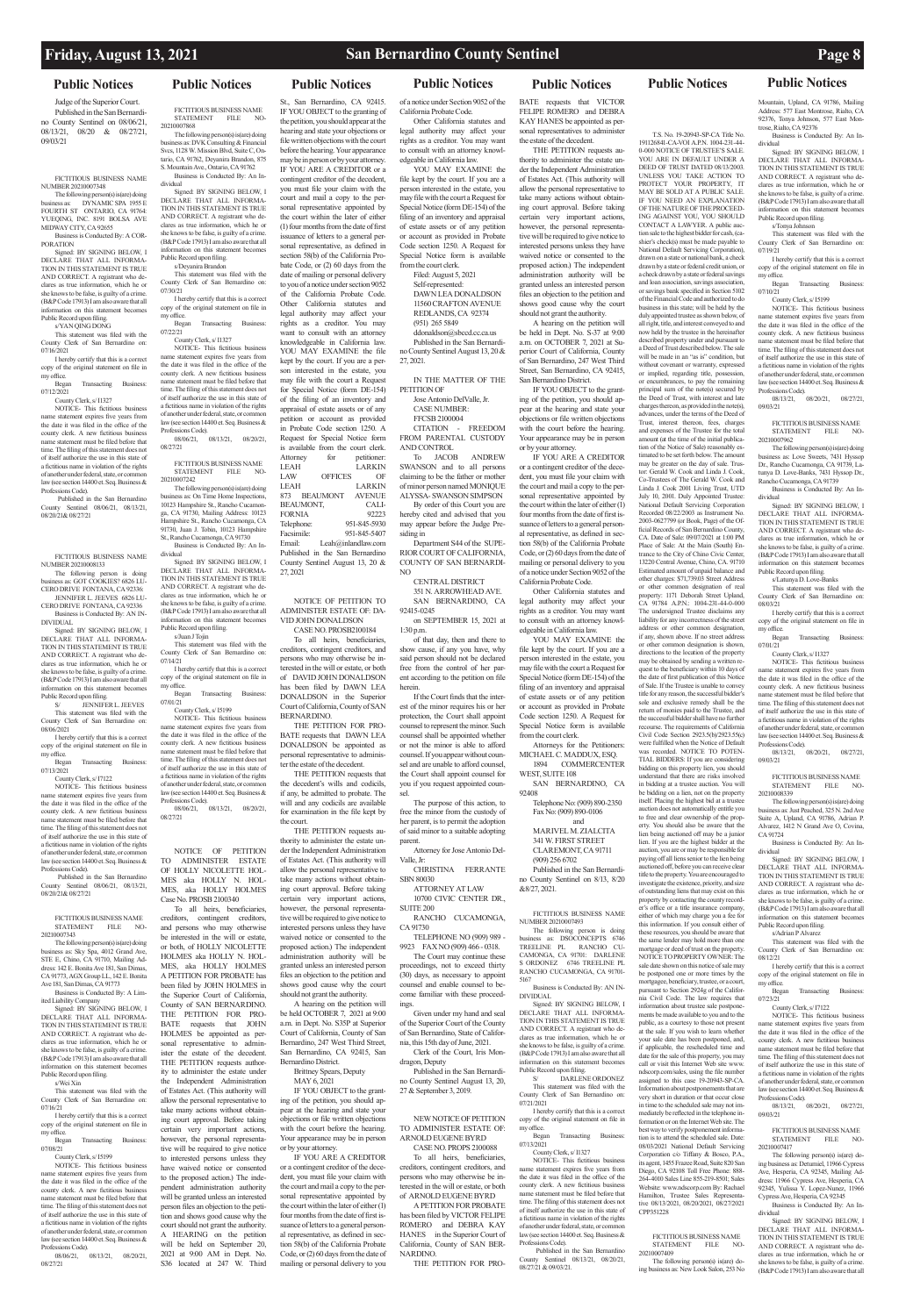### **Public Notices Public Notices Public Notices Public Notices Public Notices Public Notices Public Notices**

Judge of the Superior Court. Published in the San Bernardino County Sentinel on 08/06/21, 08/13/21, 08/20 & 08/27/21, 09/03/21

FICTITIOUS BUSINESS NAME NUMBER 20210007348

The following person(s) is(are) doing business as: DYNAMIC SPA 1955 E FOURTH ST ONTARIO, CA 91764: YUEQING, INC. 8191 BOLSA AVE MIDWAY CITY, CA 92655

copy of the original statement on file in office.

Business is Conducted By: A COR-PORATION Signed: BY SIGNING BELOW, I

DECLARE THAT ALL INFORMA-TION IN THIS STATEMENT IS TRUE AND CORRECT. A registrant who declares as true information, which he or she knows to be false, is guilty of a crime. (B&P Code 17913) I am also aware that all information on this statement becomes Public Record upon filing.

s/YAN QING DONG

This statement was filed with the County Clerk of San Bernardino on:

07/16/2021 I hereby certify that this is a correct

Began Transacting Business: 07/12/2021

County Clerk, s/ I1327

NOTICE- This fictitious business name statement expires five years from the date it was filed in the office of the county clerk. A new fictitious business statement must be filed before that time. The filing of this statement does not of itself authorize the use in this state of a fictitious name in violation of the rights of another under federal, state, or common law (see section 14400 et. Seq. Business & Professions Code).

ne statement expires five years from the date it was filed in the office of the county clerk. A new fictitious busines name statement must be filed before that time. The filing of this statement does not of itself authorize the use in this state of a fictitious name in violation of the rights of another under federal, state, or comlaw (see section 14400 et. Seq. Business & Professions Code).

Published in the San Bern County Sentinel 08/06/21, 08/13/21, 08/20/21& 08/27/21

 Published in the San Bernardino Sentinel 08/06/21, 08/13/21, 08/20/21& 08/27/21

FICTITIOUS BUSINESS NAME NUMBER 20210008133

DECLARE THAT ALL INFORMA-TION IN THIS STATEMENT IS TRUE

The following person is doing business as: GOT COOKIES? 6826 LU-CERO DRIVE FONTANA, CA 92336: JENNIFER L. JEEVES 6826 LU-

CERO DRIVE FONTANA, CA 92336 Business is Conducted By: AN IN-DIVIDUAL

Signed: BY SIGNING BELOW, I DECLARE THAT ALL INFORMA-TION IN THIS STATEMENT IS TRUE AND CORRECT. A registrant who declares as true information, which he or she knows to be false, is guilty of a crime. (B&P Code 17913) I am also aware that all information on this statement becomes

NOTICE- This fictitious business name statement expires five years from the date it was filed in the office of the county clerk. A new fictitious business name statement must be filed before that time. The filing of this statement does not of itself authorize the use in this state of a fictitious name in violation of the rights of another under federal, state, or common law (see section 14400 et. Seq. Business & Professions Code).

Public Record upon filing. S/ JENNIFER L. JEEVES This statement was filed with the County Clerk of San Bernardino on:

08/06/2021 I hereby certify that this is a correct copy of the original statement on file in

my office. Began Transacting Business:

07/13/2021 County Clerk, s/ I7122

NOTICE- This fictitious business

my office. Began Transacting Business:  $07/221$ 

FICTITIOUS BUSINESS NAME STATEMENT FILE NO-20210007343

The following person(s) is(are) doing business as: Sky Spa, 4012 Grand Ave STE E, Chino, CA 91710, Mailing Address: 142 E. Bonita Ave 181, San Dimas, CA 91773, AGX Group LL, 142 E. Bonita Ave 181, San Dimas, CA 91773

Business is Conducted By: A Limited Liability Company Signed: BY SIGNING BELOW, I

County Clerk, s/15199 NOTICE- This fictitious business me statement expires five years from the date it was filed in the office of the

AND CORRECT. A registrant who declares as true information, which he or she knows to be false, is guilty of a crime. (B&P Code 17913) I am also aware that all information on this statement becomes Public Record upon filing.

county clerk. A new fictitious busines name statement must be filed before that time. The filing of this statement does not of itself authorize the use in this state of a fictitious name in violation of the rights of another under federal, state, or common<br>law (see section 14400 et. Seq. Business & law (see section 14400 et. Seq. Business & Professions Code). 08/06/21, 08/13/21, 08/20/21, 08/27/21

s/Wei Xin

This statement was filed with the County Clerk of San Bernardino on: 07/16/21

I hereby certify that this is a correct copy of the original statement on file in my office.

Began Transacting Business: 07/08/21

County Clerk, s/ I5199

08/06/21, 08/13/21, 08/20/21, 08/27/21

FICTITIOUS BUSINESS NAME STATEMENT FILE NO-20210007868

The following person(s) is(are) doing business as: DVK Consulting & Financial Svcs, 1128 W. Mission Blvd, Suite C, Ontario, CA 91762, Deyanira Brandon, 875 S. Mountain Ave., Ontario, CA 91762 Business is Conducted By: An In-

dividual Signed: BY SIGNING BELOW, I DECLARE THAT ALL INFORMA-TION IN THIS STATEMENT IS TRUE AND CORRECT. A registrant who declares as true information, which he or she knows to be false, is guilty of a crime. (B&P Code 17913) I am also aware that all information on this statement becomes Public Record upon filing.

St., San Bernardino, CA 92415. IF YOU OBJECT to the granting of the petition, you should appear at the hearing and state your objections or file written objections with the court before the hearing. Your appearance may be in person or by your attorney. IF YOU ARE A CREDITOR or a contingent creditor of the decedent, you must file your claim with the court and mail a copy to the personal representative appointed by the court within the later of either (1) four months from the date of first issuance of letters to a general personal representative, as defined in section 58(b) of the California Probate Code, or (2) 60 days from the date of mailing or personal delivery to you of a notice under section 9052 of the California Probate Code. Other California statutes and legal authority may affect your rights as a creditor. You may want to consult with an attorney knowledgeable in California law. YOU MAY EXAMINE the file kept by the court. If you are a person interested in the estate, you may file with the court a Request for Special Notice (form DE-154) of the filing of an inventory and appraisal of estate assets or of any petition or account as provided in Probate Code section 1250. A Request for Special Notice form is available from the court clerk. Attorney for petitioner: LEAH LARKIN<br>LAW OFFICES OF LAW OFFICES **LARKIN** 873 BEAUMONT AVENUE BEAUMONT, CALI-<br>FORNIA 92223 FORNIA<br>Telephone Telephone: 951-845-5930<br>Facsimile: 951-845-5407 Facsimile: 951-845-5407

s/Deyanira Brandon This statement was filed with the County Clerk of San Bernardino on:

07/30/21 I hereby certify that this is a correct copy of the original statement on file in

County Clerk, s/ I1327 NOTICE- This fictitious business me statement expires five years from the date it was filed in the office of the county clerk. A new fictitious busine name statement must be filed before that time. The filing of this statement does not of itself authorize the use in this state of a fictitious name in violation of the rights of another under federal, state, or common<br>law (see section 14400 et. Seq. Business & law (see section 14400 et. Seq. Business & Professions Code). 08/06/21, 08/13/21, 08/20/21, 08/27/21

FICTITIOUS BUSINESS NAME STATEMENT FILE NO-

> be held OCTOBER  $7, 2021$  at 9:00 a.m. in Dept. No. S35P at Superior Court of California, County of San

20210007242 The following person(s) is(are) doing  $b_n$  as: On Time Home Inspection 10123 Hampshire St., Rancho Cucamonga, CA 91730, Mailing Address: 10123 Hampshire St., Rancho Cucamonga, CA 91730, Juan J. Tobin, 10123 Hampshire

St., Rancho Cucamonga, CA 91730

Business is Conducted By: An Individual Signed: BY SIGNING BELOW, I DECLARE THAT ALL INFORMA-TION IN THIS STATEMENT IS TRUE AND CORRECT. A registrant who declares as true information, which he or she knows to be false, is guilty of a crime. (B&P Code 17913) I am also aware that all information on this statement becomes Public Record upon filing.

s/Juan J Tojin This statement was filed with the

Self-represented: DAWN LEA DONALDSON

11560 CRAFTON AVENUE REDLANDS, CA 92374 (951) 265 5849 ddonaldson@sbccd.cc.ca.us

County Clerk of San Bernardino on:  $07/14/21$ I hereby certify that this is a correct copy of the original statement on file in

my office. Began Transacting Business: 07/01/21

CENTRAL DISTRICT 351 N. ARROWHEAD AVE. SAN BERNARDINO, CA

NOTICE OF PETITION TO ADMINISTER ESTATE OF HOLLY NICOLETTE HOL-MES aka HOLLY N. HOL-MES, aka HOLLY HOLMES

Case No. PROSB 2100340 To all heirs, beneficiaries, creditors, contingent creditors, and persons who may otherwise be interested in the will or estate, or both, of HOLLY NICOLETTE HOLMES aka HOLLY N. HOL-MES, aka HOLLY HOLMES A PETITION FOR PROBATE has been filed by JOHN HOLMES in the Superior Court of California, County of SAN BERNARDINO. THE PETITION FOR PRO-BATE requests that JOHN

HOLMES be appointed as personal representative to administer the estate of the decedent. THE PETITION requests authority to administer the estate under the Independent Administration

THE PETITION requests authority to administer the estate under the Independent Administration of Estates Act. (This authority will allow the personal representative to take many actions without obtaining court approval. Before taking certain very important actions, however, the personal representative will be required to give notice to interested persons unless they have waived notice or consented to the proposed action.) The independent administration authority will be granted unless an interested person files an objection to the petition and shows good cause why the court should not grant the authority.

of Estates Act. (This authority will allow the personal representative to take many actions without obtaining court approval. Before taking certain very important actions, however, the personal representative will be required to give notice to interested persons unless they have waived notice or consented to the proposed action.) The independent administration authority will be granted unless an interested person files an objection to the peti-

tion and shows good cause why the court should not grant the authority. A HEARING on the petition will be held on September 20, 2021 at 9:00 AM in Dept. No. S36 located at 247 W. Third

YOU MAY EXAMINE the file kept by the court. If you are a person interested in the estate, you may file with the court a Request for Special Notice (form DE-154) of the filing of an inventory and appraisal of estate assets or of any petition or account as provided in Probate Code section 1250. A Request for Special Notice form is available from the court clerk.

WEST, SUITE 108 SAN BERNARDINO, CA 92408

FICTITIOUS BUSINESS NAME NUMBER 20210007493<br>The following person

The following person is doing<br>business as: DSOCONCEPTS 6746<br>TREELINE PL<br>CAMONGA, CA 91701: DARLENE<br>S ORDONEZ 6746 TREELINE PL RANCHO CUCAMONGA, CA 91701- 5167 Business is Conducted By: AN IN-

DARLENE ORDONEZ This statement was filed with the County Clerk of San Bernardino on: 07/21/2021

I hereby certify that this is a correct copy of the original statement on file in my office.<br>Began

Transacting Business: 07/13/2021

Email: Leah@inlandlaw.com Published in the San Bernardino County Sentinel August 13, 20 & 27, 2021

NOTICE OF PETITION TO ADMINISTER ESTATE OF: DA-VID JOHN DONALDSON

CASE NO. PROSB2100184 To all heirs, beneficiaries, creditors, contingent creditors, and persons who may otherwise be in-

terested in the will or estate, or both of DAVID JOHN DONALDSON has been filed by DAWN LEA DONALDSON in the Superior Court of California, County of SAN

BERNARDINO. THE PETITION FOR PRO-BATE requests that DAWN LEA DONALDSON be appointed as personal representative to administer the estate of the decedent.

THE PETITION requests that the decedent's wills and codicils, if any, be admitted to probate. The will and any codicils are available for examination in the file kept by

the court. THE PETITION requests authority to administer the estate under the Independent Administration of Estates Act. (This authority will allow the personal representative to take many actions without obtaining court approval. Before taking certain very important actions, however, the personal representative will be required to give notice to interested persons unless they have waived notice or consented to the proposed action.) The independent administration authority will be

granted unless an interested person files an objection to the petition and shows good cause why the court should not grant the authority. A hearing on the petition will

Bernardino, 247 West Third Street, San Bernardino, CA 92415, San Bernardino District. Brittney Spears, Deputy MAY 6, 2021 IF YOU OBJECT to the granting of the petition, you should appear at the hearing and state your objections or file written objections with the court before the hearing. Your appearance may be in person or by your attorney. IF YOU ARE A CREDITOR

or a contingent creditor of the decedent, you must file your claim with the court and mail a copy to the personal representative appointed by the court within the later of either (1) four months from the date of first issuance of letters to a general personal representative, as defined in section 58(b) of the California Probate Code, or (2) 60 days from the date of mailing or personal delivery to you

of a notice under Section 9052 of the California Probate Code.

Other California statutes and legal authority may affect your rights as a creditor. You may want to consult with an attorney knowledgeable in California law.

YOU MAY EXAMINE the file kept by the court. If you are a person interested in the estate, you may file with the court a Request for Special Notice (form DE-154) of the filing of an inventory and appraisal of estate assets or of any petition or account as provided in Probate Code section 1250. A Request for Special Notice form is available from the court clerk. Filed: August 5, 2021

This statement was filed with the County Clerk of San Bernardino on:

Published in the San Bernardino County Sentinel August 13, 20 &

27, 2021.

IN THE MATTER OF THE PETITION OF

Jose Antonio DelValle, Jr. CASE NUMBER: FFCSB 2100004

CITATION - FREEDOM FROM PARENTAL CUSTODY AND CONTROL

To JACOB ANDREW SWANSON and to all persons claiming to be the father or mother of minor person named MONIQUE ALYSSA- SWANSON SIMPSON

Signed: BY SIGNING BELOW, I DECLARE THAT ALL INFORMA-TION IN THIS STATEMENT IS TRUE AND CORRECT. A registrant who declares as true information, which he or she knows to be false, is guilty of a crime. (B&P Code 17913) I am also aware that all information on this statement becomes Public Record upon filing. s/Latunya D. Love-Banks This statement was filed with the County Clerk of San Bernardino on:

By order of this Court you are hereby cited and advised that you may appear before the Judge Presiding in Department S44 of the SUPE-

RIOR COURT OF CALIFORNIA, COUNTY OF SAN BERNARDI-NO

92415-0245 on SEPTEMBER 15, 2021 at

1:30 p.m. of that day, then and there to

show cause, if any you have, why said person should not be declared free from the control of her parent according to the petition on file herein.

If the Court finds that the interest of the minor requires his or her protection, the Court shall appoint counsel to represent the minor. Such counsel shall be appointed whether or not the minor is able to afford counsel. If you appear without counsel and are unable to afford counsel, the Court shall appoint counsel for you if you request appointed counsel.

> Signed: BY SIGNING BELOW. I DECLARE THAT ALL INFORMA-TION IN THIS STATEMENT IS TRUE AND CORRECT. A registrant who declares as true information, which he or she knows to be false, is guilty of a crime. (B&P Code 17913) I am also aware that all information on this statement becomes Public Record upon filing. s/Adrian P Alvarez This statement was filed with the County Clerk of San Bernardino on:

> > County Clerk, s/ I7122 NOTICE- This fictitious business e statement expires five years from

The purpose of this action, to free the minor from the custody of her parent, is to permit the adoption of said minor to a suitable adopting

> FICTITIOUS BUSINESS NAME STATEMENT FILE 20210007417

parent. Attorney for Jose Antonio Del-Valle, Jr:

CHRISTINA FERRANTE SBN 80030

ATTORNEY AT LAW 10700 CIVIC CENTER DR., SUITE 200

RANCHO CUCAMONGA, CA 91730

TELEPHONE NO (909) 989 - 9923 FAX NO (909) 466 - 0318.

> Signed: BY SIGNING BELOW, I DECLARE THAT ALL INFORMA-TION IN THIS STATEMENT IS TRUE AND CORRECT. A registrant who declares as true information, which he or she knows to be false, is guilty of a crime. (B&P Code 17913) I am also aware that all

The Court may continue these proceedings, not to exceed thirty (30) days, as necessary to appoint counsel and enable counsel to become familiar with these proceedings.

Given under my hand and seal of the Superior Court of the County

of San Bernardino, State of California, this 15th day of June, 2021. Clerk of the Court, Iris Mondragon, Deputy

Published in the San Bernardino County Sentinel August 13, 20, 27 & September 3, 2019.

NEW NOTICE OF PETITION TO ADMINISTER ESTATE OF: ARNOLD EUGENE BYRD

CASE NO. PROPS 2100088 To all heirs, beneficiaries, creditors, contingent creditors, and persons who may otherwise be interested in the will or estate, or both of ARNOLD EUGENE BYRD A PETITION FOR PROBATE

has been filed by VICTOR FELIPE ROMERO and DEBRA KAY HANES in the Superior Court of California, County of SAN BER-NARDINO.

THE PETITION FOR PRO-

BATE requests that VICTOR FELIPE ROMERO and DEBRA KAY HANES be appointed as personal representatives to administer the estate of the decedent.

A hearing on the petition will be held in Dept. No. S-37 at 9:00 a.m. on OCTOBER 7, 2021 at Superior Court of California, County of San Bernardino, 247 West Third Street, San Bernardino, CA 92415, San Bernardino District. IF YOU OBJECT to the grant-

ing of the petition, you should appear at the hearing and state your objections or file written objections with the court before the hearing. Your appearance may be in person or by your attorney.

IF YOU ARE A CREDITOR or a contingent creditor of the decedent, you must file your claim with the court and mail a copy to the personal representative appointed by the court within the later of either (1) four months from the date of first issuance of letters to a general personal representative, as defined in section 58(b) of the California Probate Code, or (2) 60 days from the date of mailing or personal delivery to you of a notice under Section 9052 of the California Probate Code.

Other California statutes and legal authority may affect your rights as a creditor. You may want to consult with an attorney knowledgeable in California law.

Attorneys for the Petitioners: MICHAEL C. MADDUX, ESQ. 1894 COMMERCENTER

Telephone No: (909) 890-2350 Fax No: (909) 890-0106 and

MARIVEL M. ZIALCITA 341 W. FIRST STREET CLAREMONT, CA 91711 (909) 256 6702

Published in the San Bernardino County Sentinel on 8/13, 8/20 &8/27, 2021.

DIVIDUAL

Signed: BY SIGNING BELOW, I DECLARE THAT ALL INFORMA-TION IN THIS STATEMENT IS TRUE

AND CORRECT. A registrant who declares as true information, which he or she knows to be false, is guilty of a crime. (B&P Code 17913) I am also aware that all information on this statement becomes Public Record upon filing.

County Clerk, s/ I1327

NOTICE- This fictitious business ne statement expires five years from the date it was filed in the office of the county clerk. A new fictitious busine name statement must be filed before that time. The filing of this statement does not of itself authorize the use in this state of a fictitious name in violation of the rights of another under federal, state, or comlaw (see section 14400 et. Seq. Business & Professions Code). Published in the San Bernardino

County Sentinel 08/13/21, 08/20/21, 08/27/21 & 09/03/21.

T.S. No. 19-20943-SP-CA Title No. 191126841-CA-VOI A.P.N. 1004-231-44- 0-000 NOTICE OF TRUSTEE'S SALE. YOU ARE IN DEFAULT UNDER A DEED OF TRUST DATED 08/13/2003. UNLESS YOU TAKE ACTION TO PROTECT YOUR PROPERTY. IT MAY BE SOLD AT A PUBLIC SALE. IF YOU NEED AN EXPLANATION OF THE NATURE OF THE PROCEED-ING AGAINST YOU, YOU SHOULD CONTACT A LAWYER. A public auction sale to the highest bidder for cash, (cashier's check(s) must be made payable to National Default Servicing Corporation) drawn on a state or national bank, a check drawn by a state or federal credit union, or a check drawn by a state or federal savings and loan association, savings association, or savings bank specified in Section 5102 of the Financial Code and authorized to do business in this state; will be held by the duly appointed trustee as shown below, of all right, title, and interest conveyed to and mow held by the trustee in the hereinafter described property under and pursuant to a Deed of Trust described below. The sale will be made in an "as is" condition, but without covenant or warranty, expressed<br>or implied, regarding title. possession or implied, regarding title, or encumbrances, to pay the remaining principal sum of the note(s) secured by the Deed of Trust, with interest and late charges thereon, as provided in the note(s), advances, under the terms of the Deed of Trust, interest thereon, fees, charges and expenses of the Trustee for the total amount (at the time of the initial publication of the Notice of Sale) reasonably estimated to be set forth below. The amount may be greater on the day of sale. Trustor: Gerald W. Cook and Linda J. Cook, Co-Trustees of The Gerald W. Cook and Linda J. Cook 2001 Living Trust, UTD July 10, 2001. Duly Appointed Trustee: National Default Servicing Corporation Recorded 08/22/2003 as Instrument No. 2003-0627799 (or Book, Page) of the Official Records of San Bernardino County, CA. Date of Sale: 09/07/2021 at 1:00 PM Place of Sale: At the Main (South) Entrance to the City of Chino Civic Center, 13220 Central Avenue, Chino, CA. 91710 Estimated amount of unpaid balance and other charges: \$71,739.03 Street Address or other common designation of real property: 1171 Deborah Street Upland, CA 91784 A.P.N.: 1004-231-44-0-000 The undersigned Trustee disclaims any liability for any incorrectness of the street address or other common designation, if any, shown above. If no street address or other common designation is shown, directions to the location of the property may be obtained by sending a written request to the beneficiary within 10 days of the date of first publication of this Notice of Sale. If the Trustee is unable to convey title for any reason, the successful bidder's sole and exclusive remedy shall be the return of monies paid to the Trustee, and the successful bidder shall have no further recourse. The requirements of California Civil Code Section 2923.5(b)/2923.55(c) were fulfilled when the Notice of Default was recorded. NOTICE TO POTEN-TIAL BIDDERS: If you are considering bidding on this property lien, you should understand that there are risks involved in bidding at a trustee auction. You will be bidding on a lien, not on the property itself. Placing the highest bid at a truste auction does not automatically entitle you to free and clear ownership of the prop-erty. You should also be aware that the lien being auctioned off may be a junior lien. If you are the highest bidder at the auction, you are or may be responsible for paying off all liens senior to the lien being ctioned off, before you can receive clear title to the property. You are encouraged to investigate the existence, priority, and size of outstanding liens that may exist on this property by contacting the county recorder's office or a title insurance company, either of which may charge you a fee for this information. If you consult either of these resources, you should be aware that the same lender may hold more than one mortgage or deed of trust on the property. NOTICE TO PROPERTY OWNER: The sale date shown on this notice of sale may be postponed one or more times by the mortgagee, beneficiary, trustee, or a court, pursuant to Section 2924g of the California Civil Code. The law requires that information about trustee sale postponements be made available to you and to the

public, as a courtesy to those not present at the sale. If you wish to learn whether your sale date has been postponed, and, if applicable, the rescheduled time and date for the sale of this property, you may call or visit this Internet Web site www. ndscorp.com/sales, using the file number assigned to this case 19-20943-SP-CA. Information about postponements that are very short in duration or that occur close in time to the scheduled sale may not immediately be reflected in the telephone information or on the Internet Web site. The

best way to verify postponement informa-tion is to attend the scheduled sale. Date: 08/03/2021 National Default Servicing Corporation c/o Tiffany & Bosco, P.A. its agent, 1455 Frazee Road, Suite 820 San Diego, CA 92108 Toll Free Phone: 888- 264-4010 Sales Line 855-219-8501; Sales Website: www.ndscorp.com By: Rachael Hamilton, Trustee Sales Representa-tive 08/13/2021, 08/20/2021, 08/27/2021

CPP351228

FICTITIOUS BUSINESS NAME STATEMENT FILE NO-

20210007409

The following person(s) is(are) doing business as: New Look Salon, 253 No

Mountain, Upland, CA 91786, Mailing Address: 577 East Montrose, Rialto, CA 92376, Tonya Johnson, 577 East Mon-

trose, Rialto, CA 92376

Business is Conducted By: An In-

dividual

Signed: BY SIGNING BELOW, I DECLARE THAT ALL INFORMA-TION IN THIS STATEMENT IS TRUE AND CORRECT. A registrant who declares as true information, which he or she knows to be false, is guilty of a crime. (B&P Code 17913) I am also aware that all information on this statement becomes Public Record upon filing. s/Tonya Johnson

07/19/21

I hereby certify that this is a correct copy of the original statement on file in

Began Transacting Business

FICTITIOUS BUSINESS NAME<br>STATEMENT FILE NO STATEMENT FILE

my office.

07/10/21

County Clerk, s/ I5199 NOTICE- This fictitious business name statement expires five years from the date it was filed in the office of the county clerk. A new fictitious business name statement must be filed before that time. The filing of this statement does no of itself authorize the use in this state of a fictitious name in violation of the rights of another under federal, state, or common law (see section 14400 et. Seq. Business & Professions Code). 08/13/21, 08/20/21, 08/27/21,

09/03/21

20210007962

The following person(s) is(are) doing business as: Love Sweets, 7431 Hyssop Dr., Rancho Cucamonga, CA 91739, La-tunya D. Love-Banks, 7431 Hyssop Dr., Rancho Cucamonga, CA 91739 Business is Conducted By: An In-

dividual

08/03/21

I hereby certify that this is a correct copy of the original statement on file in

my office.

Began Transacting Business:

07/01/21

County Clerk, s/ I1327 NOTICE- This fictitious business name statement expires five years from the date it was filed in the office of the county clerk. A new fictitious business name statement must be filed before that time. The filing of this statement does not of itself authorize the use in this state of a fictitious name in violation of the rights of another under federal, state, or common law (see section 14400 et. Seq. Business &

Professions Code).

08/13/21, 08/20/21, 08/27/21,

09/03/21

FICTITIOUS BUSINESS NAME STATEMENT FILE NO-

20210008339

CA 91724

The following person(s) is(are) doing business as: Just Peached, 325 N. 2nd Ave Suite A, Upland, CA 91786, Adrian P. Alvarez, 1412 N Grand Ave O, Covina,

Business is Conducted By: An In-

dividual

08/12/21

I hereby certify that this is a correct copy of the original statement on file in

my office.

Began Transacting Business:

07/23/21

the date it was filed in the office of the county clerk. A new fictitious business name statement must be filed before that time. The filing of this statement does not of itself authorize the use in this state of a fictitious name in violation of the rights of another under federal, state, or conlaw (see section 14400 et. Seq. Business & Professions Code).

08/13/21, 08/20/21, 08/27/21, 09/03/21

The following person(s) is(are) doing business as: Detumiel, 11966 Cypress Ave, Hesperia, CA 92345, Mailing Address: 11966 Cypress Ave, Hesperia, CA 92345, Yulissa Y. Lopez-Nunez, 11966 Cypress Ave, Hesperia, CA 92345

Business is Conducted By: An Individual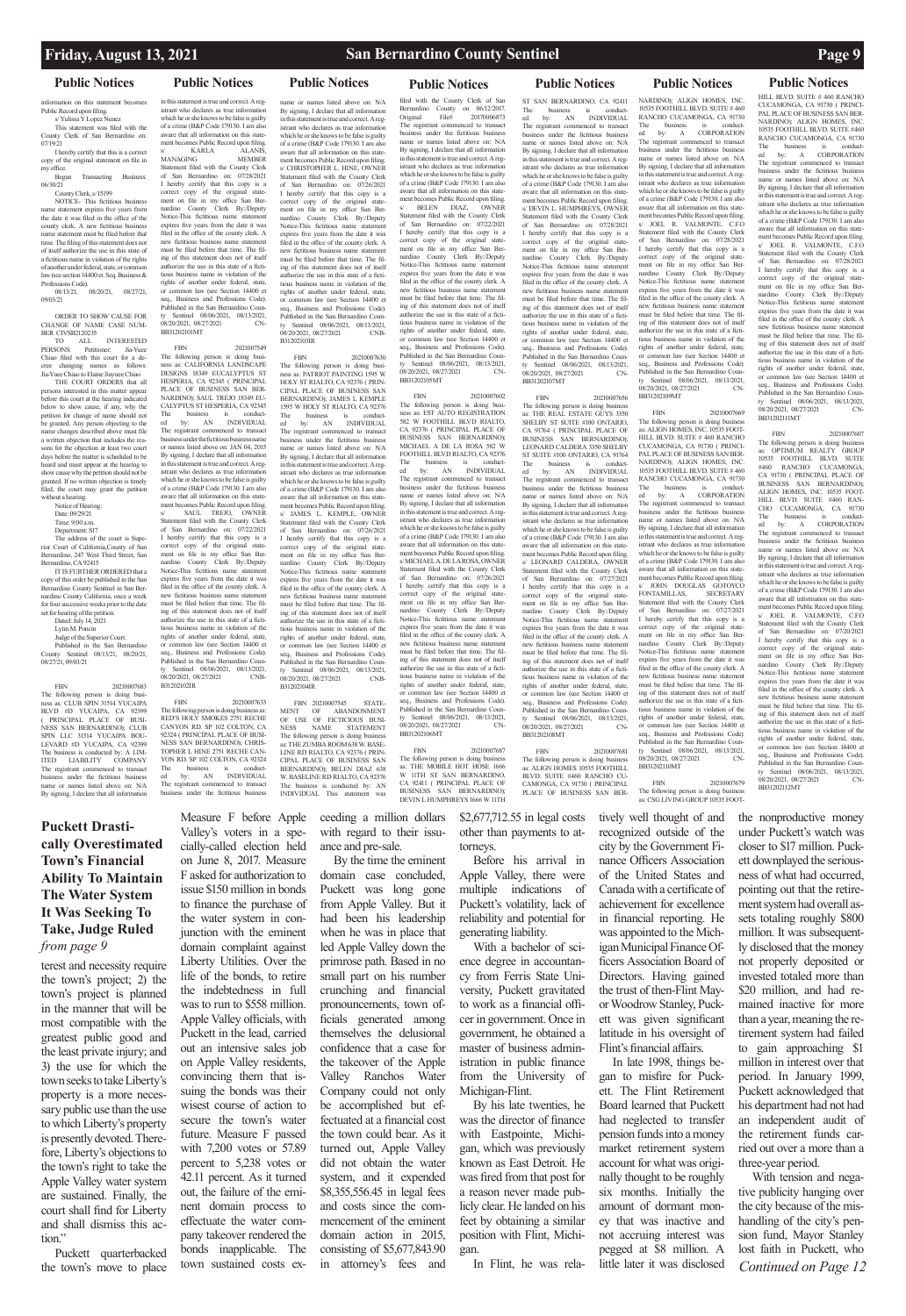tion on this statement becomes Public Record upon filing. s/ Yulissa Y Lopez Nunez

This statement was filed with the County Clerk of San Bernardino on: 07/19/21  $\sum_{n=1}^{\infty}$  I hereby certify that this is a correct

copy of the original statement on file in my office. Began Transacting Business:

06/30/21 County Clerk, s/ I5199

NOTICE- This fictitious business

name statement expires five years from the date it was filed in the office of the county clerk. A new fictitious business name statement must be filed before that time. The filing of this statement does not of itself authorize the use in this state of a fictitious name in violation of the rights of another under federal, state, or common law (see section 14400 et. Seq. Business & Professions Code).

08/13/21, 08/20/21, 08/27/21, 09/03/21

ORDER TO SHOW CAUSE FOR CHANGE OF NAME CASE NUM-BER CIVSB2120235

TO ALL INTERESTED PERSONS: Petitioner: Jia-Yuee PERSONS: Petitioner: Jia-Yuee<br>Chiao filed with this court for a decree changing names as follows: Jia-Yuee Chiao to Elaine Jiayuee Chiao

IT IS FURTHER ORDERED that a copy of this order be published in the San Bernardino County Sentinel in San Bernardino County California, once a week for four successive weeks prior to the date set for hearing of the petition.

THE COURT ORDERS that all persons interested in this matter appear before this court at the hearing indicated below to show cause, if any, why the petition for change of name should not be granted. Any person objecting to the name changes described above must file a written objection that includes the reasons for the objection at least two court days before the matter is scheduled to be heard and must appear at the hearing to show cause why the petition should not be granted. If no written objection is timely filed, the court may grant the petition without a hearing.

in this statement is true and correct. A registrant who declares as true informa which he or she knows to be false is guilty

of a crime (B&P Code 179130. I am also aware that all information on this statement becomes Public Record upon filing. s/ $$\sf KARLA$$ MANAGING

Notice of Hearing:

Date: 09/29/21 Time: 9:00 a.m.

Department: S17

The address of the court is Superior Court of California County of San Bernardino, 247 West Third Street, San Bernardino, CA 92415

Dated: July 14, 2021

Lynn M. Poncin

dge of the Superior Court.

Published in the San Bernardino County Sentinel 08/13/21, 08/20/21, 08/27/21, 09/03/21

FBN 20210007683 The following person is doing business as: CLUB SPIN 31514 YUCAIPA BLVD #D YUCAIPA, CA 92399 PRINCIPAL PLACE OF BUSI-NESS SAN BERNARDINO); CLUB SPIN LLC 31514 YUCAIPA BOU-LEVARD #D YUCAIPA, CA 92399 The business is conducted by: A LIM-<br>ITED LIABILITY COMPANY LIABILITY The registrant commenced to transact business under the fictitious business name or names listed above on: N/A By signing, I declare that all information

### **Public Notices Public Notices Public Notices Public Notices Public Notices Public Notices Public Notices**

mes listed above on: N/A By signing, I declare that all information in this statement is true and correct. A registrant who declares as true information which he or she knows to be false is guilty of a crime (B&P Code 179130. I am also aware that all information on this statement becomes Public Record upon filing. s/ CHRISTOPHER L. HINE, OWNER Statement filed with the County Clerk San Bernardino on: 07/26/2021 I hereby certify that this copy is a correct copy of the original state-ment on file in my office San Bernardino County Clerk By:/Deputy Notice-This fictitious name statement expires five years from the date it was filed in the office of the county clerk. A new fictitious business name statement must be filed before that time. The filing of this statement does not of itself authorize the use in this state of a fictitious business name in violation of the rights of another under federal, state, or common law (see Section 14400 et Business and Professions Code). Published in the San Bernardino County Sentinel 08/06/2021, 08/13/2021, 08/20/2021, 08/27/2021 CNB-B31202103IR

MANAGING MEMBER Statement filed with the County Clerk of San Bernardino on: 07/28/2021 I hereby certify that this copy is a correct copy of the original statement on file in my office San Ber-nardino County Clerk By:/Deputy Notice-This fictitious name statement expires five years from the date it was filed in the office of the county clerk. A new fictitious business name statement must be filed before that time. The filing of this statement does not of itself authorize the use in this state of a fictitious business name in violation of the rights of another under federal, state, or common law (see Section 14400 et seq., Business and Professions Code). Published in the San Bernardino Coun-Sentinel 08/06/2021, 08/13/2021, 08/20/2021, 08/27/2021 CN-BB31202101MT

> FBN 20210007545 STATE-<br>MENT OF ABANDONMENT OF ABANDONMENT OF USE OF FICTICIOUS BUSI-NESS NAME STATEMENT The following person is doing business as: THE ZUMBA ROOM 638 W. BASE-LINE RD RIALTO, CA 92376 ( PRIN-CIPAL PLACE OF BUSINESS SAN BERNARDINO); BELEN DIAZ 638 W. BASELINE RD RIALTO, CA 92376 The business is conducted by: AN INDIVIDUAL This statement was

filed with the County Clerk of San Bernardino County on 06/12/2017. Original File# 20170006873 The registrant commenced to transact business under the fictitious business name or names listed above on: N/A By signing, I declare that all information in this statement is true and correct. A registrant who declares as true information which he or she knows to be false is guilty of a crime (B&P Code 179130. I am also aware that all information on this state-ment becomes Public Record upon filing. s/ BELEN DIAZ, OWNER Statement filed with the County Clerk of San Bernardino on: 07/22/2021 I hereby certify that this copy is a correct copy of the original state-ment on file in my office San Ber-County Clerk By:/Deputy Notice-This fictitious name statement expires five years from the date it was filed in the office of the county clerk. A new fictitious business name statement must be filed before that time. The filing of this statement does not of itself authorize the use in this state of a fictitious business name in violation of the rights of another under federal, state, or common law (see Section 14400 et seq., Business and Professions Code). Published in the San Bernardino Coun-ty Sentinel 08/06/2021, 08/13/2021, 08/20/2021, 08/27/2021 CN-

FBN 2021007549 The following person is doing business as: CALIFORNIA LANDSCAPE DESIGNS 18349 EUCALYPTUS ST HESPERIA, CA 92345 ( PRINCIPAL PLACE OF BUSINESS SAN BER-NARDINO); SAUL TREJO 18349 EU-CALYPTUS ST HESPERIA, CA 92345 The business is conduct-ed by: AN INDIVIDUAL The registrant commenced to transact business under the fictitious business name or names listed above on: JAN 04, 2015 By signing, I declare that all information in this statement is true and correct. A registrant who declares as true information which he or she knows to be false is guilty of a crime (B&P Code 179130. I am also aware that all information on this statement becomes Public Record upon filing. SAUL TREJO, OWNER Statement filed with the County Clerk of San Bernardino on: 07/22/2021 I hereby certify that this copy is a correct copy of the original statement on file in my office San Ber-nardino County Clerk By:/Deputy Notice-This fictitious name statement expires five years from the date it was filed in the office of the county clerk. A new fictitious business name statement must be filed before that time. The filing of this statement does not of itself authorize the use in this state of a fictitious business name in violation of the rights of another under federal, state, or common law (see Section 14400 et seq., Business and Professions Code). Published in the San Bernardino County Sentinel 08/06/2021, 08/13/2021, 08/20/2021, 08/27/2021 CNB-B31202102IR

### FBN 20210007633

The following person is doing business as: RED'S HOLY SMOKES 2751 RECHE CANYON RD. SP 102 COLTON, CA 92324 ( PRINCIPAL PLACE OF BUSI-NESS SAN BERNARDINO); CHRIS-TOPHER L HINE 2751 RECHE CAN-YON RD. SP 102 COLTON, CA 92324<br>The business is conduct-The business is conduct-ed by: AN INDIVIDUAL The registrant commenced to transact business under the fictitious business

FBN 20210007630 The following person is doing business as: PATRIOT PAINTING 1595 W HOLY ST RIALTO, CA 92376 ( PRIN-CIPAL PLACE OF BUSINESS BERNARDINO); JAMES L KEMPLE 1595 W HOLY ST RIALTO, CA 92376 The business is conduct-ed by: AN INDIVIDUAL The registrant commenced to transact business under the fictitious business name or names listed above on: N/A By signing, I declare that all information in this statement is true and correct. A registrant who declares as true information which he or she knows to be false is guilty of a crime (B&P Code 179130. I am also aware that all information on this statement becomes Public Record upon filing. JAMES L. KEMPLE, OWNER Statement filed with the County Clerk of San Bernardino on: 07/26/2021 I hereby certify that this copy is a correct copy of the original statement on file in my office San Bernardino County Clerk By:/Deputy Notice-This fictitious name statem expires five years from the date it was filed in the office of the county clerk.  $\Delta$ new fictitious business name statement must be filed before that time. The filing of this statement does not of itself authorize the use in this state of a fictitious business name in violation of the rights of another under federal, state, or common law (see Section 14400 et seq., Business and Professions Code). Published in the San Bernardino County Sentinel 08/06/2021, 08/13/2021,<br>08/20/2021, 08/27/2021 CNB-08/20/2021, 08/27/2021 B31202104IR

### FBN 20210007607 The following person is doing business as: OPTIMUM REALTY GROUP<br>10535 FOOTHILL BLVD. SUITE 10535 FOOTHILL BLVD. #460 RANCHO CUCAMONGA, CA 91730 ( PRINCIPAL PLACE OF BUSINESS SAN BERNARDINO); ALIGN HOMES, INC. 10535 FOOT-HILL BLVD. SUITE #460 RAN-CHO CUCAMONGA, CA 91730 The business is conduct-ed by: A CORPORATION The registrant commenced to transact business under the fictitious business name or names listed above on: N/A By signing, I declare that all information in this statement is true and correct. A registrant who declares as true information which he or she knows to be false is guilty of a crime (B&P Code 179130. I am also aware that all information on this statement becomes Public Record upon filing. s/ JOEL R. VALMONTE, C.F.O. Statement filed with the County of San Bernardino on: 07/20/2021 I hereby certify that this copy is a correct copy of the original statement on file in my office San Bernardino County Clerk By:/Deputy Notice-This fictitious name statement expires five years from the date it was filed in the office of the county clerk. A new fictitious business name statement must be filed before that time. The filing of this statement does not of itself authorize the use in this state of a fictitious business name in violation of the rights of another under federal, state, or common law (see Section 14400 et seq., Business and Professions Code). Published in the San Bernardino Coun-Suithel 08/06/2021, 08/13/2021 08/20/2021, 08/27/2021 CN-

BB31202105MT

FBN 20210007602 The following person is doing bu ness as: EST AUTO REGISTRATION 582 W FOOTHILL BLVD RIALTO, CA 92376 ( PRINCIPAL PLACE OF BUSINESS SAN BERNARDINO); MICHAEL A DE LA ROSA 582 W FOOTHILL BLVD RIALTO, CA 92376 The business is conduct-ed by: AN INDIVIDUAL The registrant commenced to transact business under the fictitious business name or names listed above on: N/A By signing, I declare that all information in this statement is true and correct. A registrant who declares as true information which he or she knows to be false is guilty of a crime (B&P Code 179130. I am also aware that all information on this statement becomes Public Record upon filing. s/ MICHAEL A. DE LA ROSA, OWNER Statement filed with the County Clerk of San Bernardino on: 07/26/2021 I hereby certify that this copy is a correct copy of the original statement on file in my office San Ber-nardino County Clerk By:/Deputy Notice-This fictitious name statement expires five years from the date it filed in the office of the county clerk. A new fictitious business name statement must be filed before that time. The filing of this statement does not of itself authorize the use in this state of a fictitious business name in violation of the rights of another under federal, state, or common law (see Section 14400 et seq., Business and Professions Code). Published in the San Bernardino County Sentinel 08/06/2021, 08/13/2021,<br>08/20/2021 08/27/2021 CN- $08/20/2021$ ,  $08/27/2021$ BB31202106MT

FBN 20210007687 The following person is doing business

CA 92411 ( PRINCIPAL PLACE OF

ST SAN BERNARDINO, CA 92411 The business is conduct-ed by: AN INDIVIDUAL The registrant commenced to transac business under the fictitious business name or names listed above on: N/A By signing, I declare that all information in this statement is true and correct. A registrant who declares as true inform which he or she knows to be false is guilty of a crime (B&P Code 179130. I am also aware that all information on this statement becomes Public Record upon filing. s/ DEVIN L. HUMPHREYS, OWNER Statement filed with the County Clerk of San Bernardino on: 07/28/2021 I hereby certify that this copy is a correct copy of the original state-ment on file in my office San Bernardino County Clerk By:/Deputy Notice-This fictitious name statement expires five years from the date it was filed in the office of the county clerk. A new fictitious business name statem must be filed before that time. The filing of this statement does not of itself authorize the use in this state of a fictitious business name in violation of the rights of another under federal, state, or common law (see Section 14400 et seq., Business and Professions Code). Published in the San Bernardino County Sentinel 08/06/2021, 08/13/2021, 08/20/2021, 08/27/2021 CN-BB31202107MT

as: THE MOBILE HOT HOSE 1666 W 11TH ST SAN BERNARDINO, BUSINESS SAN BERNARDINO); DEVIN L HUMPHREYS 1666 W 11TH FBN 20210007681 The following person is doing business as: ALIGN HOMES 10535 FOOTHILL BLVD. SUITE #460 RANCHO CU-CAMONGA, CA 91730 ( PRINCIPAL PLACE OF BUSINESS SAN BER-

FBN 20210007656 The following person is doing business as: THE REAL ESTATE GUYS 3350 SHELBY ST SUITE #100 ONTARIO, CA 91764 ( PRINCIPAL PLACE OF BUSINESS SAN BERNARDINO); LEONARD CALDERA 3350 SHELBY ST SUITE #100 ONTARIO, CA 91764 The business is conduct-ed by: AN INDIVIDUAL The registrant commenced to transact business under the fictitious business name or names listed above on: N/A By signing, I declare that all information in this statement is true and correct. A registrant who declares as true information which he or she knows to be false is guilty of a crime (B&P Code 179130. I am also aware that all information on this statement becomes Public Record upon filing. s/ LEONARD CALDERA, OWNER Statement filed with the County Clerk of San Bernardino on: 07/27/2021 I hereby certify that this copy is a correct copy of the original state-ment on file in my office San Bernardino County Clerk By:/Deputy Notice-This fictitious name statement expires five years from the date it was filed in the office of the county clerk. A new fictitious business name statement must be filed before that time. The filing of this statement does not of itself authorize the use in this state of a fictitious business name in violation of the rights of another under federal, state, or common law (see Section 14400 et seq., Business and Professions Code). Published in the San Bernardino Coun-ty Sentinel 08/06/2021, 08/13/2021, 08/20/2021, 08/27/2021 CN-BB31202108MT

NARDINO); ALIGN HOMES, INC. 10535 FOOTHILL BLVD. SUITE # 460 RANCHO CUCAMONGA, CA 91730<br>The business is conductbusiness is conduct-<br>by: A CORPORATION CORPORATION The registrant commenced to transact business under the fictitious business name or names listed above on: N/A By signing, I declare that all information in this statement is true and correct. A registrant who declares as true information which he or she knows to be false is guilty of a crime (B&P Code 179130. I am also aware that all information on this statement becomes Public Record upon fil s/ JOEL R. VALMONTE, C.F.O Statement filed with the County Clerk San Bernardino on: 07/28/2021 I hereby certify that this copy is a correct copy of the original state-ment on file in my office San Bernardino County Clerk By:/Deputy Notice-This fictitious name statement expires five years from the date it was filed in the office of the county clerk. A new fictitious business name statement must be filed before that time. The filing of this statement does not of itself authorize the use in this state of a fictitious business name in violation of the rights of another under federal, state, or common law (see Section 14400 et seq., Business and Professions Code). Published in the San Bernardino Coun-Sentinel 08/06/2021, 08/13/2021 ty Sentinel 08/06/2021, 08/13/2021<br>08/20/2021, 08/27/2021 CN-BB31202109MT

FBN 20210007669 The following person is doing business as: ALIGN HOMES, INC. 10535 FOOT-HILL BLVD. SUITE # 460 RANCHO CUCAMONGA, CA 91730 ( PRINCI-PAL PLACE OF BUSINESS SAN BER-NARDINO); ALIGN HOMES, INC. 10535 FOOTHILL BLVD. SUITE # 460 RANCHO CUCAMONGA, CA 91730 The business is conduct-ed by: A CORPORATION The registrant commenced to transact business under the fictitious business name or names listed above on: N/A By signing, I declare that all information in this statement is true and correct. A registrant who declares as true information which he or she knows to be false is guilty of a crime (B&P Code 179130. I am also aware that all information on this statement becomes Public Record upon filing. **JOHN DOUGLAS GOTOYCO**<br>NTAMILLAS. SECRETARY FONTAMILLAS, Statement filed with the County Clerk<br>of San Bernardino on: 07/27/2021 San Bernardino on: I hereby certify that this copy is a correct copy of the original state-ment on file in my office San Bernardino County Clerk By:/Deputy Notice-This fictitious name statement expires five years from the date it was filed in the office of the county clerk. A new fictitious business name statement must be filed before that time. The filing of this statement does not of itself authorize the use in this state of a fictitious business name in violation of the rights of another under federal, state, or common law (see Section 14400 et seq., Business and Professions Code). Published in the San Bernardino Coun-Sentinel 08/06/2021, 08/13/2021 ty Sentinel 08/06/2021, 08/13/2021<br>08/20/2021, 08/27/2021 CN-BB31202110MT

FBN 20210007679 The following person is doing business as: CSG LIVING GROUP 10535 FOOT-

HILL BLVD. SUITE # 460 RANCHO CUCAMONGA, CA 91730 ( PRINCI-PAL PLACE OF BUSINESS SAN BER-NARDINO); ALIGN HOMES, INC. 10535 FOOTHILL BLVD. SUITE #460 RANCHO CUCAMONGA, CA 91730<br>The business is conduct-The business is conduct-ed by: A CORPORATION The registrant commenced to transact business under the fictitious business name or names listed above on: N/A By signing, I declare that all information in this statement is true and correct. A registrant who declares as true information which he or she knows to be false is guilty of a crime (B&P Code 179130. I am also aware that all information on this statement becomes Public Record upon filing. s/ JOEL R. VALMONTE, C.F.O. Statement filed with the County of San Bernardino on: 07/28/2021 I hereby certify that this copy is a correct copy of the original statement on file in my office San Bernardino County Clerk By:/Deputy Notice-This fictitious name statement expires five years from the date it was filed in the office of the county clerk. A new fictitious business name statement must be filed before that time. The filing of this statement does not of itself authorize the use in this state of a fictitious business name in violation of the rights of another under federal, state, or common law (see Section 14400 et seq., Business and Professions Code). Published in the San Bernardino Coun-Sentinel 08/06/2021, 08/13/2021, 08/20/2021, 08/27/2021 CN-BB31202111MT

BB31202112MT

terest and necessity require the town's project; 2) the town's project is planned in the manner that will be most compatible with the

greatest public good and the least private injury; and 3) the use for which the town seeks to take Liberty's property is a more necessary public use than the use to which Liberty's property is presently devoted. Therefore, Liberty's objections to the town's right to take the Apple Valley water system are sustained. Finally, the court shall find for Liberty and shall dismiss this action."

Puckett quarterbacked the town's move to place

Measure F before Apple Valley's voters in a specially-called election held on June 8, 2017. Measure F asked for authorization to issue \$150 million in bonds to finance the purchase of the water system in conjunction with the eminent domain complaint against Liberty Utilities. Over the life of the bonds, to retire the indebtedness in full was to run to \$558 million. Apple Valley officials, with Puckett in the lead, carried out an intensive sales job on Apple Valley residents, convincing them that issuing the bonds was their wisest course of action to secure the town's water future. Measure F passed with 7,200 votes or 57.89 percent to 5,238 votes or 42.11 percent. As it turned out, the failure of the eminent domain process to effectuate the water company takeover rendered the bonds inapplicable. The town sustained costs ex-

ceeding a million dollars with regard to their issuance and pre-sale.

By the time the eminent domain case concluded, Puckett was long gone from Apple Valley. But it had been his leadership when he was in place that led Apple Valley down the primrose path. Based in no small part on his number crunching and financial pronouncements, town officials generated among themselves the delusional confidence that a case for the takeover of the Apple Valley Ranchos Water Company could not only be accomplished but effectuated at a financial cost the town could bear. As it turned out, Apple Valley did not obtain the water system, and it expended \$8,355,556.45 in legal fees and costs since the commencement of the eminent domain action in 2015, consisting of \$5,677,843.90 in attorney's fees and

\$2,677,712.55 in legal costs other than payments to at-

torneys.

Before his arrival in Apple Valley, there were multiple indications of Puckett's volatility, lack of reliability and potential for generating liability.

With a bachelor of science degree in accountancy from Ferris State University, Puckett gravitated to work as a financial officer in government. Once in

government, he obtained a master of business administration in public finance from the University of Michigan-Flint.

By his late twenties, he was the director of finance with Eastpointe, Michigan, which was previously known as East Detroit. He was fired from that post for a reason never made publicly clear. He landed on his feet by obtaining a similar position with Flint, Michigan. In Flint, he was rela-

tively well thought of and recognized outside of the city by the Government Finance Officers Association of the United States and Canada with a certificate of achievement for excellence in financial reporting. He was appointed to the Michigan Municipal Finance Officers Association Board of Directors. Having gained the trust of then-Flint Mayor Woodrow Stanley, Puckett was given significant latitude in his oversight of Flint's financial affairs. In late 1998, things began to misfire for Puckett. The Flint Retirement Board learned that Puckett had neglected to transfer pension funds into a money market retirement system account for what was originally thought to be roughly six months. Initially the amount of dormant money that was inactive and not accruing interest was pegged at \$8 million. A little later it was disclosed

the nonproductive money under Puckett's watch was closer to \$17 million. Puckett downplayed the seriousness of what had occurred, pointing out that the retirement system had overall assets totaling roughly \$800 million. It was subsequently disclosed that the money not properly deposited or invested totaled more than \$20 million, and had remained inactive for more than a year, meaning the retirement system had failed to gain approaching \$1 million in interest over that period. In January 1999, Puckett acknowledged that his department had not had an independent audit of the retirement funds carried out over a more than a three-year period. With tension and negative publicity hanging over the city because of the mishandling of the city's pension fund, Mayor Stanley lost faith in Puckett, who *Continued on Page 12*

## **Puckett Drastically Overestimated Town's Financial Ability To Maintain The Water System It Was Seeking To Take, Judge Ruled**  *from page 9*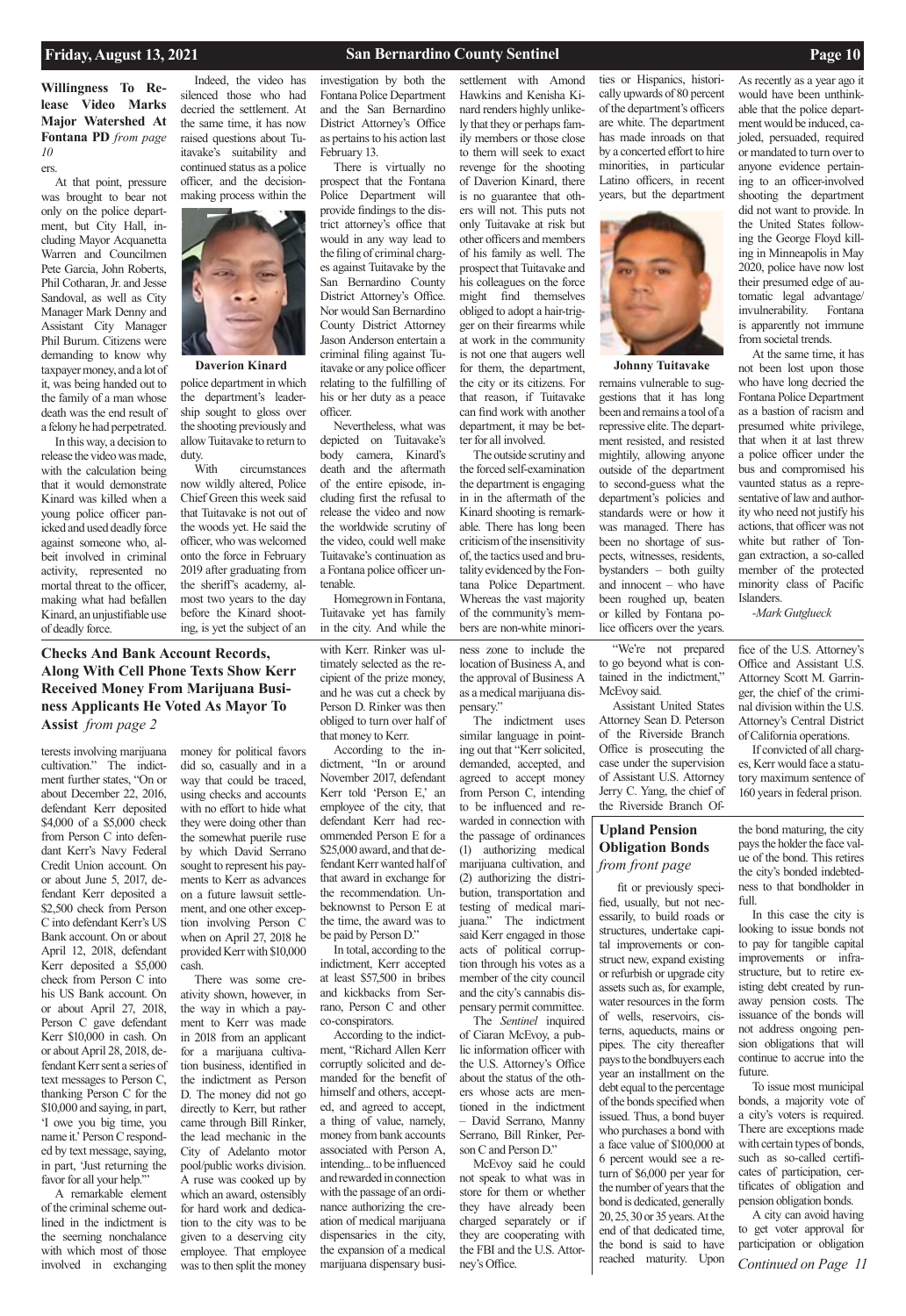**Willingness To Release Video Marks Major Watershed At Fontana PD** *from page 10*

# **Checks And Bank Account Records, Along With Cell Phone Texts Show Kerr Received Money From Marijuana Business Applicants He Voted As Mayor To Assist** *from page 2*

### **Upland Pension Obligation Bonds**  *from front page*

### **Friday, August 13, 2021 San Bernardino County Sentinel Page 10**

terests involving marijuana cultivation." The indictment further states, "On or about December 22, 2016, defendant Kerr deposited \$4,000 of a \$5,000 check from Person C into defendant Kerr's Navy Federal Credit Union account. On or about June 5, 2017, defendant Kerr deposited a \$2,500 check from Person C into defendant Kerr's US Bank account. On or about April 12, 2018, defendant Kerr deposited a \$5,000 check from Person C into his US Bank account. On or about April 27, 2018, Person C gave defendant Kerr \$10,000 in cash. On or about April 28, 2018, defendant Kerr sent a series of text messages to Person C, thanking Person C for the \$10,000 and saying, in part, 'I owe you big time, you name it.' Person C responded by text message, saying, in part, 'Just returning the favor for all your help."" A remarkable element of the criminal scheme outlined in the indictment is the seeming nonchalance with which most of those involved in exchanging

money for political favors did so, casually and in a way that could be traced, using checks and accounts with no effort to hide what they were doing other than the somewhat puerile ruse by which David Serrano sought to represent his payments to Kerr as advances on a future lawsuit settlement, and one other exception involving Person C when on April 27, 2018 he provided Kerr with \$10,000 cash.

There was some creativity shown, however, in the way in which a payment to Kerr was made in 2018 from an applicant for a marijuana cultivation business, identified in the indictment as Person D. The money did not go directly to Kerr, but rather came through Bill Rinker, the lead mechanic in the City of Adelanto motor pool/public works division. A ruse was cooked up by which an award, ostensibly for hard work and dedication to the city was to be given to a deserving city employee. That employee was to then split the money

with Kerr. Rinker was ultimately selected as the recipient of the prize money, and he was cut a check by Person D. Rinker was then obliged to turn over half of that money to Kerr.

According to the in-

dictment, "In or around November 2017, defendant Kerr told 'Person E,' an employee of the city, that defendant Kerr had recommended Person E for a \$25,000 award, and that defendant Kerr wanted half of that award in exchange for the recommendation. Unbeknownst to Person E at the time, the award was to be paid by Person D."

In total, according to the indictment, Kerr accepted at least \$57,500 in bribes and kickbacks from Serrano, Person C and other co-conspirators.

According to the indictment, "Richard Allen Kerr corruptly solicited and demanded for the benefit of himself and others, accepted, and agreed to accept, a thing of value, namely, money from bank accounts associated with Person A, intending... to be influenced and rewarded in connection with the passage of an ordinance authorizing the creation of medical marijuana dispensaries in the city, the expansion of a medical marijuana dispensary busi-

ness zone to include the location of Business A, and the approval of Business A as a medical marijuana dis-

pensary."

The indictment uses similar language in pointing out that "Kerr solicited, demanded, accepted, and agreed to accept money from Person C, intending to be influenced and rewarded in connection with the passage of ordinances (1) authorizing medical marijuana cultivation, and (2) authorizing the distribution, transportation and testing of medical marijuana." The indictment said Kerr engaged in those acts of political corruption through his votes as a member of the city council and the city's cannabis dispensary permit committee.

The *Sentinel* inquired

of Ciaran McEvoy, a public information officer with the U.S. Attorney's Office about the status of the others whose acts are mentioned in the indictment – David Serrano, Manny Serrano, Bill Rinker, Person C and Person D." McEvoy said he could not speak to what was in store for them or whether they have already been charged separately or if they are cooperating with the FBI and the U.S. Attorney's Office.

"We're not prepared to go beyond what is contained in the indictment," McEvoy said.

Assistant United States Attorney Sean D. Peterson of the Riverside Branch Office is prosecuting the case under the supervision of Assistant U.S. Attorney Jerry C. Yang, the chief of the Riverside Branch Of-

fice of the U.S. Attorney's Office and Assistant U.S. Attorney Scott M. Garringer, the chief of the criminal division within the U.S. Attorney's Central District of California operations.

If convicted of all charges, Kerr would face a statutory maximum sentence of 160 years in federal prison.

ers.

At that point, pressure was brought to bear not only on the police department, but City Hall, including Mayor Acquanetta Warren and Councilmen Pete Garcia, John Roberts, Phil Cotharan, Jr. and Jesse Sandoval, as well as City Manager Mark Denny and Assistant City Manager Phil Burum. Citizens were demanding to know why taxpayer money, and a lot of it, was being handed out to the family of a man whose death was the end result of a felony he had perpetrated.

In this way, a decision to release the video was made, with the calculation being that it would demonstrate Kinard was killed when a young police officer panicked and used deadly force against someone who, albeit involved in criminal activity, represented no mortal threat to the officer, making what had befallen Kinard, an unjustifiable use of deadly force.

Indeed, the video has silenced those who had decried the settlement. At the same time, it has now raised questions about Tuitavake's suitability and continued status as a police officer, and the decisionmaking process within the



*Continued on Page 11* A city can avoid having to get voter approval for participation or obligation

investigation by both the Fontana Police Department and the San Bernardino District Attorney's Office as pertains to his action last February 13.

There is virtually no prospect that the Fontana Police Department will provide findings to the district attorney's office that would in any way lead to the filing of criminal charges against Tuitavake by the San Bernardino County District Attorney's Office. Nor would San Bernardino County District Attorney Jason Anderson entertain a criminal filing against Tu-Daverion Kinard itavake or any police officer for them, the department, Johnny Tuitavake relating to the fulfilling of his or her duty as a peace officer.

Nevertheless, what was depicted on Tuitavake's body camera, Kinard's death and the aftermath of the entire episode, including first the refusal to release the video and now the worldwide scrutiny of the video, could well make Tuitavake's continuation as a Fontana police officer untenable.

Homegrown in Fontana, Tuitavake yet has family in the city. And while the settlement with Amond Hawkins and Kenisha Kinard renders highly unlikely that they or perhaps family members or those close to them will seek to exact revenge for the shooting of Daverion Kinard, there is no guarantee that others will not. This puts not only Tuitavake at risk but other officers and members of his family as well. The prospect that Tuitavake and his colleagues on the force might find themselves obliged to adopt a hair-trigger on their firearms while at work in the community is not one that augers well for them, the department, the city or its citizens. For that reason, if Tuitavake can find work with another department, it may be better for all involved.

The outside scrutiny and the forced self-examination the department is engaging in in the aftermath of the Kinard shooting is remarkable. There has long been criticism of the insensitivity of, the tactics used and brutality evidenced by the Fontana Police Department. Whereas the vast majority of the community's members are non-white minorities or Hispanics, historically upwards of 80 percent of the department's officers are white. The department has made inroads on that by a concerted effort to hire minorities, in particular Latino officers, in recent years, but the department



As recently as a year ago it would have been unthinkable that the police department would be induced, cajoled, persuaded, required or mandated to turn over to anyone evidence pertaining to an officer-involved shooting the department did not want to provide. In the United States following the George Floyd killing in Minneapolis in May 2020, police have now lost their presumed edge of automatic legal advantage/ invulnerability. Fontana is apparently not immune from societal trends.

At the same time, it has not been lost upon those who have long decried the Fontana Police Department as a bastion of racism and presumed white privilege, that when it at last threw a police officer under the bus and compromised his vaunted status as a representative of law and authority who need not justify his actions, that officer was not white but rather of Tongan extraction, a so-called member of the protected minority class of Pacific Islanders.

*-Mark Gutglueck*

police department in which the department's leadership sought to gloss over the shooting previously and allow Tuitavake to return to duty.

With circumstances now wildly altered, Police Chief Green this week said that Tuitavake is not out of the woods yet. He said the officer, who was welcomed onto the force in February 2019 after graduating from the sheriff's academy, almost two years to the day before the Kinard shooting, is yet the subject of an

remains vulnerable to suggestions that it has long been and remains a tool of a repressive elite. The department resisted, and resisted mightily, allowing anyone outside of the department to second-guess what the department's policies and standards were or how it was managed. There has been no shortage of suspects, witnesses, residents, bystanders – both guilty and innocent – who have been roughed up, beaten or killed by Fontana police officers over the years.

fit or previously specified, usually, but not necessarily, to build roads or structures, undertake capital improvements or construct new, expand existing or refurbish or upgrade city assets such as, for example, water resources in the form of wells, reservoirs, cisterns, aqueducts, mains or pipes. The city thereafter pays to the bondbuyers each year an installment on the debt equal to the percentage of the bonds specified when issued. Thus, a bond buyer who purchases a bond with a face value of \$100,000 at 6 percent would see a return of \$6,000 per year for the number of years that the bond is dedicated, generally 20, 25, 30 or 35 years. At the end of that dedicated time, the bond is said to have reached maturity. Upon

the bond maturing, the city pays the holder the face value of the bond. This retires the city's bonded indebtedness to that bondholder in full.

In this case the city is looking to issue bonds not to pay for tangible capital improvements or infrastructure, but to retire existing debt created by runaway pension costs. The issuance of the bonds will not address ongoing pension obligations that will continue to accrue into the future. To issue most municipal bonds, a majority vote of a city's voters is required. There are exceptions made with certain types of bonds, such as so-called certificates of participation, certificates of obligation and pension obligation bonds.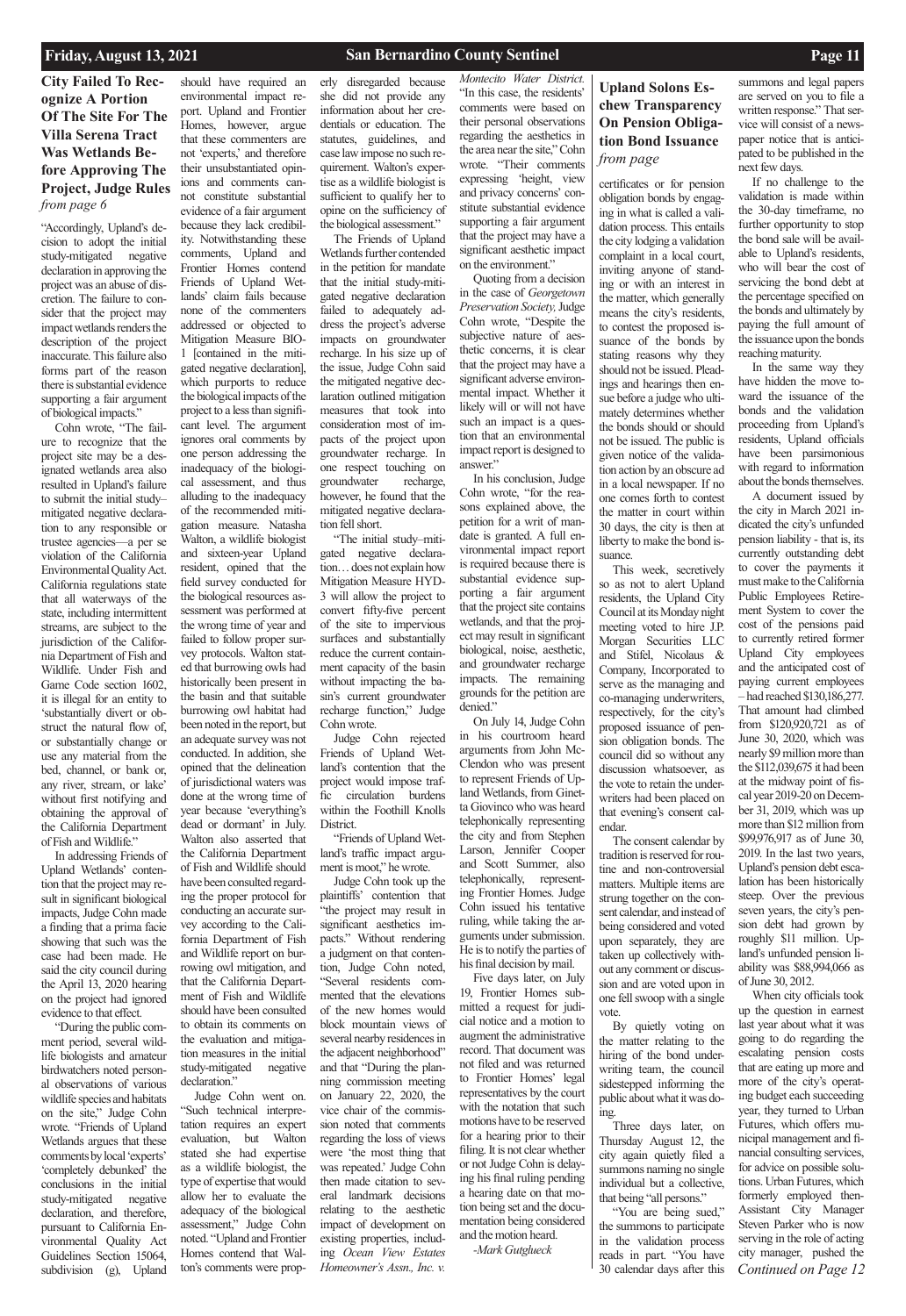## **Upland Solons Eschew Transparency On Pension Obligation Bond Issuance**  *from page*

## **City Failed To Recognize A Portion Of The Site For The Villa Serena Tract Was Wetlands Before Approving The Project, Judge Rules**  *from page 6*

# **Friday, August 13, 2021 San Bernardino County Sentinel Page 11**

"Accordingly, Upland's decision to adopt the initial study-mitigated negative declaration in approving the project was an abuse of discretion. The failure to consider that the project may impact wetlands renders the description of the project inaccurate. This failure also forms part of the reason there is substantial evidence supporting a fair argument of biological impacts."

Cohn wrote, "The failure to recognize that the project site may be a designated wetlands area also resulted in Upland's failure to submit the initial study– mitigated negative declaration to any responsible or trustee agencies—a per se violation of the California Environmental Quality Act. California regulations state that all waterways of the state, including intermittent streams, are subject to the jurisdiction of the California Department of Fish and Wildlife. Under Fish and Game Code section 1602, it is illegal for an entity to 'substantially divert or obstruct the natural flow of, or substantially change or use any material from the bed, channel, or bank or, any river, stream, or lake' without first notifying and obtaining the approval of the California Department of Fish and Wildlife."

In addressing Friends of Upland Wetlands' contention that the project may result in significant biological impacts, Judge Cohn made a finding that a prima facie showing that such was the case had been made. He said the city council during the April 13, 2020 hearing on the project had ignored evidence to that effect.

"During the public com-

to obtain its comments on the evaluation and mitigation measures in the initial study-mitigated negative declaration."

ment period, several wildlife biologists and amateur birdwatchers noted personal observations of various wildlife species and habitats on the site," Judge Cohn wrote. "Friends of Upland Wetlands argues that these comments by local 'experts' 'completely debunked' the conclusions in the initial study-mitigated negative declaration, and therefore, pursuant to California Environmental Quality Act Guidelines Section 15064, subdivision (g), Upland

should have required an environmental impact report. Upland and Frontier Homes, however, argue that these commenters are not 'experts,' and therefore their unsubstantiated opinions and comments cannot constitute substantial evidence of a fair argument because they lack credibility. Notwithstanding these comments, Upland and Frontier Homes contend Friends of Upland Wetlands' claim fails because none of the commenters addressed or objected to Mitigation Measure BIO-1 [contained in the mitigated negative declaration], which purports to reduce the biological impacts of the project to a less than significant level. The argument ignores oral comments by one person addressing the inadequacy of the biological assessment, and thus alluding to the inadequacy of the recommended mitigation measure. Natasha Walton, a wildlife biologist and sixteen-year Upland resident, opined that the field survey conducted for the biological resources assessment was performed at the wrong time of year and failed to follow proper survey protocols. Walton stated that burrowing owls had historically been present in the basin and that suitable burrowing owl habitat had been noted in the report, but an adequate survey was not conducted. In addition, she opined that the delineation of jurisdictional waters was done at the wrong time of year because 'everything's dead or dormant' in July. Walton also asserted that the California Department of Fish and Wildlife should have been consulted regarding the proper protocol for conducting an accurate survey according to the California Department of Fish and Wildlife report on burrowing owl mitigation, and that the California Department of Fish and Wildlife

should have been consulted

Judge Cohn went on. "Such technical interpretation requires an expert evaluation, but Walton stated she had expertise as a wildlife biologist, the type of expertise that would allow her to evaluate the adequacy of the biological assessment," Judge Cohn noted. "Upland and Frontier Homes contend that Walton's comments were prop-

erly disregarded because she did not provide any information about her credentials or education. The statutes, guidelines, and case law impose no such requirement. Walton's expertise as a wildlife biologist is sufficient to qualify her to opine on the sufficiency of the biological assessment."

The Friends of Upland Wetlands further contended in the petition for mandate that the initial study-mitigated negative declaration failed to adequately address the project's adverse impacts on groundwater recharge. In his size up of the issue, Judge Cohn said the mitigated negative declaration outlined mitigation measures that took into consideration most of impacts of the project upon groundwater recharge. In one respect touching on groundwater recharge, however, he found that the mitigated negative declaration fell short.

"The initial study–mitigated negative declaration… does not explain how Mitigation Measure HYD-3 will allow the project to convert fifty-five percent of the site to impervious surfaces and substantially reduce the current containment capacity of the basin without impacting the basin's current groundwater recharge function," Judge Cohn wrote.

Judge Cohn rejected Friends of Upland Wetland's contention that the project would impose traffic circulation burdens within the Foothill Knolls District.

"Friends of Upland Wetland's traffic impact argument is moot," he wrote.

Judge Cohn took up the plaintiffs' contention that "the project may result in significant aesthetics impacts." Without rendering a judgment on that contention, Judge Cohn noted, "Several residents commented that the elevations of the new homes would block mountain views of several nearby residences in the adjacent neighborhood" and that "During the planning commission meeting on January 22, 2020, the vice chair of the commission noted that comments regarding the loss of views were 'the most thing that was repeated.' Judge Cohn then made citation to several landmark decisions relating to the aesthetic impact of development on existing properties, including *Ocean View Estates Homeowner's Assn., Inc. v.* 

*Continued on Page 12* When city officials took up the question in earnest last year about what it was going to do regarding the escalating pension costs that are eating up more and more of the city's operating budget each succeeding year, they turned to Urban Futures, which offers municipal management and financial consulting services, for advice on possible solutions. Urban Futures, which formerly employed then-Assistant City Manager Steven Parker who is now serving in the role of acting city manager, pushed the

*Montecito Water District.* "In this case, the residents' comments were based on their personal observations regarding the aesthetics in the area near the site," Cohn wrote. "Their comments expressing 'height, view and privacy concerns' constitute substantial evidence supporting a fair argument that the project may have a significant aesthetic impact on the environment."

Quoting from a decision in the case of *Georgetown Preservation Society,* Judge Cohn wrote, "Despite the subjective nature of aesthetic concerns, it is clear that the project may have a significant adverse environmental impact. Whether it likely will or will not have such an impact is a question that an environmental impact report is designed to answer."

In his conclusion, Judge Cohn wrote, "for the reasons explained above, the petition for a writ of mandate is granted. A full environmental impact report is required because there is substantial evidence supporting a fair argument that the project site contains wetlands, and that the project may result in significant biological, noise, aesthetic, and groundwater recharge impacts. The remaining grounds for the petition are denied."

On July 14, Judge Cohn in his courtroom heard arguments from John Mc-Clendon who was present to represent Friends of Upland Wetlands, from Ginetta Giovinco who was heard telephonically representing the city and from Stephen Larson, Jennifer Cooper and Scott Summer, also telephonically, representing Frontier Homes. Judge Cohn issued his tentative ruling, while taking the arguments under submission. He is to notify the parties of his final decision by mail.

Five days later, on July 19, Frontier Homes submitted a request for judicial notice and a motion to augment the administrative record. That document was not filed and was returned to Frontier Homes' legal representatives by the court with the notation that such motions have to be reserved for a hearing prior to their filing. It is not clear whether or not Judge Cohn is delaying his final ruling pending a hearing date on that motion being set and the documentation being considered and the motion heard. *-Mark Gutglueck*

certificates or for pension obligation bonds by engaging in what is called a validation process. This entails the city lodging a validation complaint in a local court, inviting anyone of standing or with an interest in the matter, which generally means the city's residents, to contest the proposed issuance of the bonds by stating reasons why they should not be issued. Pleadings and hearings then ensue before a judge who ultimately determines whether the bonds should or should not be issued. The public is given notice of the validation action by an obscure ad in a local newspaper. If no one comes forth to contest the matter in court within 30 days, the city is then at liberty to make the bond issuance.

This week, secretively so as not to alert Upland residents, the Upland City Council at its Monday night meeting voted to hire J.P. Morgan Securities LLC and Stifel, Nicolaus & Company, Incorporated to serve as the managing and co-managing underwriters, respectively, for the city's proposed issuance of pension obligation bonds. The council did so without any discussion whatsoever, as the vote to retain the underwriters had been placed on that evening's consent calendar.

The consent calendar by tradition is reserved for routine and non-controversial matters. Multiple items are strung together on the consent calendar, and instead of being considered and voted upon separately, they are taken up collectively without any comment or discussion and are voted upon in one fell swoop with a single vote.

By quietly voting on the matter relating to the hiring of the bond underwriting team, the council sidestepped informing the public about what it was doing. Three days later, on Thursday August 12, the city again quietly filed a summons naming no single

individual but a collective, that being "all persons." "You are being sued," the summons to participate in the validation process reads in part. "You have 30 calendar days after this

summons and legal papers are served on you to file a written response." That service will consist of a newspaper notice that is anticipated to be published in the next few days.

If no challenge to the validation is made within the 30-day timeframe, no further opportunity to stop the bond sale will be available to Upland's residents, who will bear the cost of servicing the bond debt at the percentage specified on the bonds and ultimately by paying the full amount of the issuance upon the bonds reaching maturity.

In the same way they have hidden the move toward the issuance of the bonds and the validation proceeding from Upland's residents, Upland officials have been parsimonious with regard to information about the bonds themselves.

A document issued by the city in March 2021 indicated the city's unfunded pension liability - that is, its currently outstanding debt to cover the payments it must make to the California Public Employees Retirement System to cover the cost of the pensions paid to currently retired former Upland City employees and the anticipated cost of paying current employees – had reached \$130,186,277. That amount had climbed from \$120,920,721 as of June 30, 2020, which was nearly \$9 million more than the \$112,039,675 it had been at the midway point of fiscal year 2019-20 on December 31, 2019, which was up more than \$12 million from \$99,976,917 as of June 30, 2019. In the last two years, Upland's pension debt escalation has been historically steep. Over the previous seven years, the city's pension debt had grown by roughly \$11 million. Upland's unfunded pension liability was \$88,994,066 as of June 30, 2012.